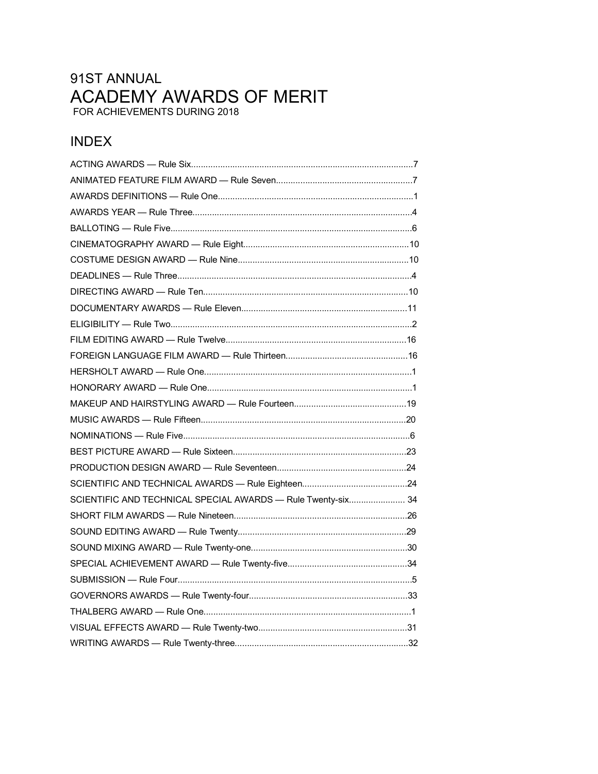# 91ST ANNUAL ACADEMY AWARDS OF MERIT FOR ACHIEVEMENTS DURING 2018

# **INDEX**

| SCIENTIFIC AND TECHNICAL SPECIAL AWARDS - Rule Twenty-six 34 |  |
|--------------------------------------------------------------|--|
|                                                              |  |
|                                                              |  |
|                                                              |  |
|                                                              |  |
|                                                              |  |
|                                                              |  |
|                                                              |  |
|                                                              |  |
|                                                              |  |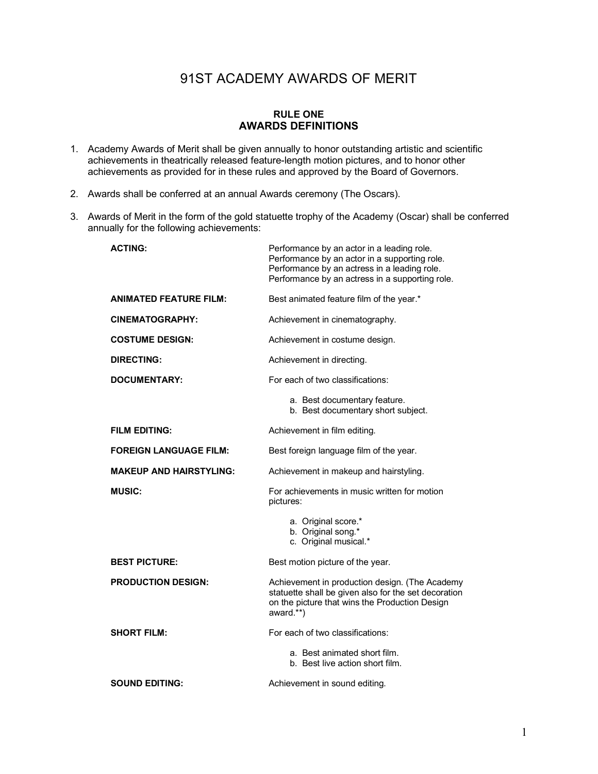# 91ST ACADEMY AWARDS OF MERIT

#### **RULE ONE AWARDS DEFINITIONS**

- <span id="page-1-0"></span>1. Academy Awards of Merit shall be given annually to honor outstanding artistic and scientific achievements in theatrically released feature-length motion pictures, and to honor other achievements as provided for in these rules and approved by the Board of Governors.
- 2. Awards shall be conferred at an annual Awards ceremony (The Oscars).
- 3. Awards of Merit in the form of the gold statuette trophy of the Academy (Oscar) shall be conferred annually for the following achievements:

| <b>ACTING:</b>                 | Performance by an actor in a leading role.<br>Performance by an actor in a supporting role.<br>Performance by an actress in a leading role.<br>Performance by an actress in a supporting role. |
|--------------------------------|------------------------------------------------------------------------------------------------------------------------------------------------------------------------------------------------|
| <b>ANIMATED FEATURE FILM:</b>  | Best animated feature film of the year.*                                                                                                                                                       |
| <b>CINEMATOGRAPHY:</b>         | Achievement in cinematography.                                                                                                                                                                 |
| <b>COSTUME DESIGN:</b>         | Achievement in costume design.                                                                                                                                                                 |
| DIRECTING:                     | Achievement in directing.                                                                                                                                                                      |
| DOCUMENTARY:                   | For each of two classifications:                                                                                                                                                               |
|                                | a. Best documentary feature.<br>b. Best documentary short subject.                                                                                                                             |
| <b>FILM EDITING:</b>           | Achievement in film editing.                                                                                                                                                                   |
| <b>FOREIGN LANGUAGE FILM:</b>  | Best foreign language film of the year.                                                                                                                                                        |
| <b>MAKEUP AND HAIRSTYLING:</b> | Achievement in makeup and hairstyling.                                                                                                                                                         |
| <b>MUSIC:</b>                  | For achievements in music written for motion<br>pictures:                                                                                                                                      |
|                                | a. Original score.*<br>b. Original song.*<br>c. Original musical.*                                                                                                                             |
| <b>BEST PICTURE:</b>           | Best motion picture of the year.                                                                                                                                                               |
| <b>PRODUCTION DESIGN:</b>      | Achievement in production design. (The Academy<br>statuette shall be given also for the set decoration<br>on the picture that wins the Production Design<br>award.**)                          |
| <b>SHORT FILM:</b>             | For each of two classifications:                                                                                                                                                               |
|                                | a. Best animated short film.<br>b. Best live action short film.                                                                                                                                |
| <b>SOUND EDITING:</b>          | Achievement in sound editing.                                                                                                                                                                  |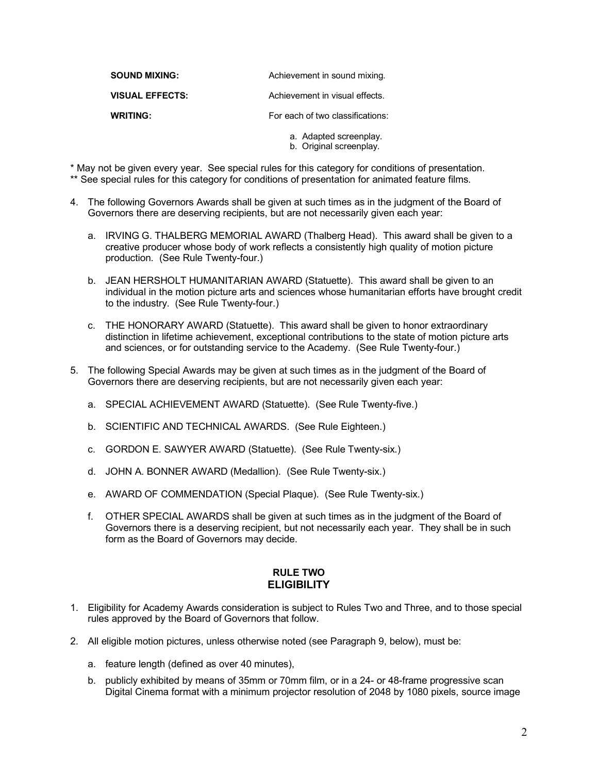<span id="page-2-0"></span>

| <b>SOUND MIXING:</b>   | Achievement in sound mixing.     |
|------------------------|----------------------------------|
| <b>VISUAL EFFECTS:</b> | Achievement in visual effects.   |
| <b>WRITING:</b>        | For each of two classifications: |
|                        | a. Adapted screenplay.           |

b. Original screenplay.

\* May not be given every year. See special rules for this category for conditions of presentation.

- \*\* See special rules for this category for conditions of presentation for animated feature films.
- 4. The following Governors Awards shall be given at such times as in the judgment of the Board of Governors there are deserving recipients, but are not necessarily given each year:
	- a. IRVING G. THALBERG MEMORIAL AWARD (Thalberg Head). This award shall be given to a creative producer whose body of work reflects a consistently high quality of motion picture production. (See Rule Twenty-four.)
	- b. JEAN HERSHOLT HUMANITARIAN AWARD (Statuette). This award shall be given to an individual in the motion picture arts and sciences whose humanitarian efforts have brought credit to the industry. (See Rule Twenty-four.)
	- c. THE HONORARY AWARD (Statuette). This award shall be given to honor extraordinary distinction in lifetime achievement, exceptional contributions to the state of motion picture arts and sciences, or for outstanding service to the Academy. (See Rule Twenty-four.)
- 5. The following Special Awards may be given at such times as in the judgment of the Board of Governors there are deserving recipients, but are not necessarily given each year:
	- a. SPECIAL ACHIEVEMENT AWARD (Statuette). (See Rule Twenty-five.)
	- b. SCIENTIFIC AND TECHNICAL AWARDS. (See Rule Eighteen.)
	- c. GORDON E. SAWYER AWARD (Statuette). (See Rule Twenty-six.)
	- d. JOHN A. BONNER AWARD (Medallion). (See Rule Twenty-six.)
	- e. AWARD OF COMMENDATION (Special Plaque). (See Rule Twenty-six.)
	- f. OTHER SPECIAL AWARDS shall be given at such times as in the judgment of the Board of Governors there is a deserving recipient, but not necessarily each year. They shall be in such form as the Board of Governors may decide.

#### **RULE TWO ELIGIBILITY**

- 1. Eligibility for Academy Awards consideration is subject to Rules Two and Three, and to those special rules approved by the Board of Governors that follow.
- 2. All eligible motion pictures, unless otherwise noted (see Paragraph 9, below), must be:
	- a. feature length (defined as over 40 minutes),
	- b. publicly exhibited by means of 35mm or 70mm film, or in a 24- or 48-frame progressive scan Digital Cinema format with a minimum projector resolution of 2048 by 1080 pixels, source image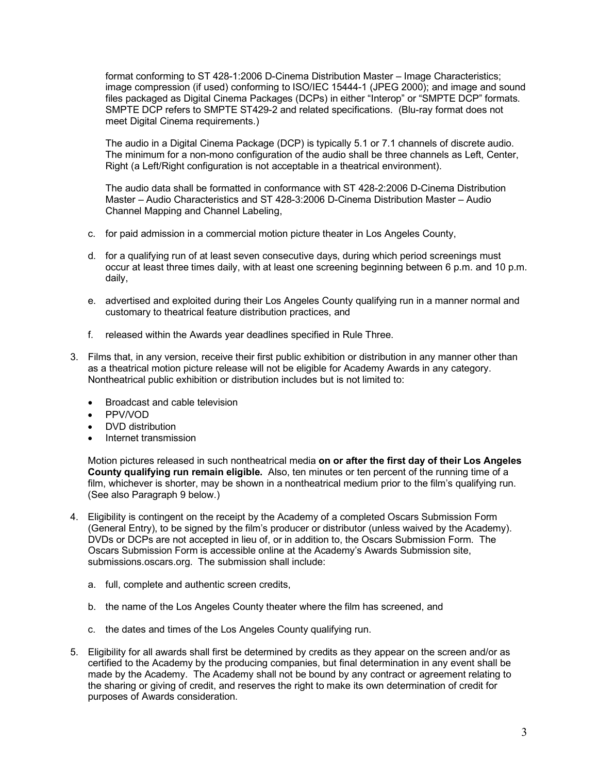format conforming to ST 428-1:2006 D-Cinema Distribution Master – Image Characteristics; image compression (if used) conforming to ISO/IEC 15444-1 (JPEG 2000); and image and sound files packaged as Digital Cinema Packages (DCPs) in either "Interop" or "SMPTE DCP" formats. SMPTE DCP refers to SMPTE ST429-2 and related specifications. (Blu-ray format does not meet Digital Cinema requirements.)

The audio in a Digital Cinema Package (DCP) is typically 5.1 or 7.1 channels of discrete audio. The minimum for a non-mono configuration of the audio shall be three channels as Left, Center, Right (a Left/Right configuration is not acceptable in a theatrical environment).

The audio data shall be formatted in conformance with ST 428-2:2006 D-Cinema Distribution Master – Audio Characteristics and ST 428-3:2006 D-Cinema Distribution Master – Audio Channel Mapping and Channel Labeling,

- c. for paid admission in a commercial motion picture theater in Los Angeles County,
- d. for a qualifying run of at least seven consecutive days, during which period screenings must occur at least three times daily, with at least one screening beginning between 6 p.m. and 10 p.m. daily,
- e. advertised and exploited during their Los Angeles County qualifying run in a manner normal and customary to theatrical feature distribution practices, and
- f. released within the Awards year deadlines specified in Rule Three.
- 3. Films that, in any version, receive their first public exhibition or distribution in any manner other than as a theatrical motion picture release will not be eligible for Academy Awards in any category. Nontheatrical public exhibition or distribution includes but is not limited to:
	- Broadcast and cable television
	- PPV/VOD
	- DVD distribution
	- Internet transmission

Motion pictures released in such nontheatrical media **on or after the first day of their Los Angeles County qualifying run remain eligible.** Also, ten minutes or ten percent of the running time of a film, whichever is shorter, may be shown in a nontheatrical medium prior to the film's qualifying run. (See also Paragraph 9 below.)

- 4. Eligibility is contingent on the receipt by the Academy of a completed Oscars Submission Form (General Entry), to be signed by the film's producer or distributor (unless waived by the Academy). DVDs or DCPs are not accepted in lieu of, or in addition to, the Oscars Submission Form. The Oscars Submission Form is accessible online at the Academy's Awards Submission site, submissions.oscars.org. The submission shall include:
	- a. full, complete and authentic screen credits,
	- b. the name of the Los Angeles County theater where the film has screened, and
	- c. the dates and times of the Los Angeles County qualifying run.
- 5. Eligibility for all awards shall first be determined by credits as they appear on the screen and/or as certified to the Academy by the producing companies, but final determination in any event shall be made by the Academy. The Academy shall not be bound by any contract or agreement relating to the sharing or giving of credit, and reserves the right to make its own determination of credit for purposes of Awards consideration.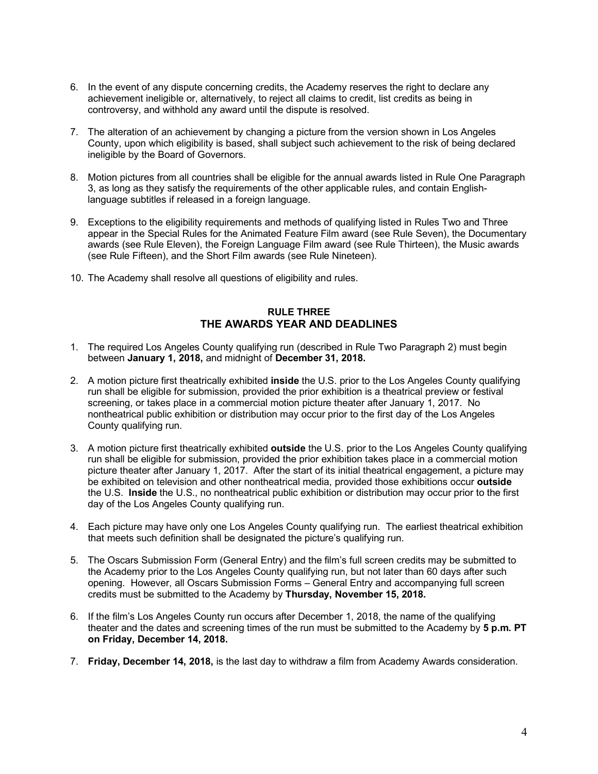- <span id="page-4-0"></span>6. In the event of any dispute concerning credits, the Academy reserves the right to declare any achievement ineligible or, alternatively, to reject all claims to credit, list credits as being in controversy, and withhold any award until the dispute is resolved.
- 7. The alteration of an achievement by changing a picture from the version shown in Los Angeles County, upon which eligibility is based, shall subject such achievement to the risk of being declared ineligible by the Board of Governors.
- 8. Motion pictures from all countries shall be eligible for the annual awards listed in Rule One Paragraph 3, as long as they satisfy the requirements of the other applicable rules, and contain Englishlanguage subtitles if released in a foreign language.
- 9. Exceptions to the eligibility requirements and methods of qualifying listed in Rules Two and Three appear in the Special Rules for the Animated Feature Film award (see Rule Seven), the Documentary awards (see Rule Eleven), the Foreign Language Film award (see Rule Thirteen), the Music awards (see Rule Fifteen), and the Short Film awards (see Rule Nineteen).
- 10. The Academy shall resolve all questions of eligibility and rules.

# **RULE THREE THE AWARDS YEAR AND DEADLINES**

- 1. The required Los Angeles County qualifying run (described in Rule Two Paragraph 2) must begin between **January 1, 2018,** and midnight of **December 31, 2018.**
- 2. A motion picture first theatrically exhibited **inside** the U.S. prior to the Los Angeles County qualifying run shall be eligible for submission, provided the prior exhibition is a theatrical preview or festival screening, or takes place in a commercial motion picture theater after January 1, 2017. No nontheatrical public exhibition or distribution may occur prior to the first day of the Los Angeles County qualifying run.
- 3. A motion picture first theatrically exhibited **outside** the U.S. prior to the Los Angeles County qualifying run shall be eligible for submission, provided the prior exhibition takes place in a commercial motion picture theater after January 1, 2017. After the start of its initial theatrical engagement, a picture may be exhibited on television and other nontheatrical media, provided those exhibitions occur **outside** the U.S. **Inside** the U.S., no nontheatrical public exhibition or distribution may occur prior to the first day of the Los Angeles County qualifying run.
- 4. Each picture may have only one Los Angeles County qualifying run. The earliest theatrical exhibition that meets such definition shall be designated the picture's qualifying run.
- 5. The Oscars Submission Form (General Entry) and the film's full screen credits may be submitted to the Academy prior to the Los Angeles County qualifying run, but not later than 60 days after such opening. However, all Oscars Submission Forms – General Entry and accompanying full screen credits must be submitted to the Academy by **Thursday, November 15, 2018.**
- 6. If the film's Los Angeles County run occurs after December 1, 2018, the name of the qualifying theater and the dates and screening times of the run must be submitted to the Academy by **5 p.m. PT on Friday, December 14, 2018.**
- 7. **Friday, December 14, 2018,** is the last day to withdraw a film from Academy Awards consideration.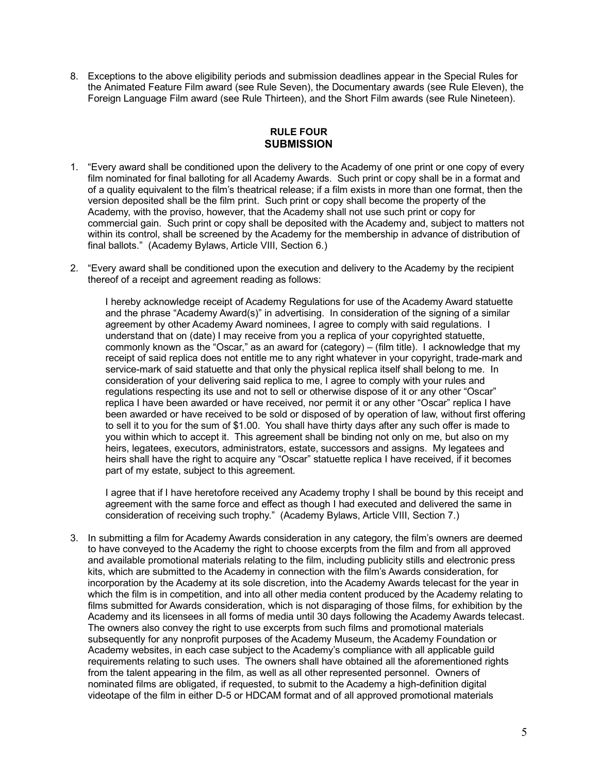8. Exceptions to the above eligibility periods and submission deadlines appear in the Special Rules for the Animated Feature Film award (see Rule Seven), the Documentary awards (see Rule Eleven), the Foreign Language Film award (see Rule Thirteen), and the Short Film awards (see Rule Nineteen).

## **RULE FOUR SUBMISSION**

- 1. "Every award shall be conditioned upon the delivery to the Academy of one print or one copy of every film nominated for final balloting for all Academy Awards. Such print or copy shall be in a format and of a quality equivalent to the film's theatrical release; if a film exists in more than one format, then the version deposited shall be the film print. Such print or copy shall become the property of the Academy, with the proviso, however, that the Academy shall not use such print or copy for commercial gain. Such print or copy shall be deposited with the Academy and, subject to matters not within its control, shall be screened by the Academy for the membership in advance of distribution of final ballots." (Academy Bylaws, Article VIII, Section 6.)
- 2. "Every award shall be conditioned upon the execution and delivery to the Academy by the recipient thereof of a receipt and agreement reading as follows:

I hereby acknowledge receipt of Academy Regulations for use of the Academy Award statuette and the phrase "Academy Award(s)" in advertising. In consideration of the signing of a similar agreement by other Academy Award nominees, I agree to comply with said regulations. I understand that on (date) I may receive from you a replica of your copyrighted statuette, commonly known as the "Oscar," as an award for (category) – (film title). I acknowledge that my receipt of said replica does not entitle me to any right whatever in your copyright, trade-mark and service-mark of said statuette and that only the physical replica itself shall belong to me. In consideration of your delivering said replica to me, I agree to comply with your rules and regulations respecting its use and not to sell or otherwise dispose of it or any other "Oscar" replica I have been awarded or have received, nor permit it or any other "Oscar" replica I have been awarded or have received to be sold or disposed of by operation of law, without first offering to sell it to you for the sum of \$1.00. You shall have thirty days after any such offer is made to you within which to accept it. This agreement shall be binding not only on me, but also on my heirs, legatees, executors, administrators, estate, successors and assigns. My legatees and heirs shall have the right to acquire any "Oscar" statuette replica I have received, if it becomes part of my estate, subject to this agreement.

I agree that if I have heretofore received any Academy trophy I shall be bound by this receipt and agreement with the same force and effect as though I had executed and delivered the same in consideration of receiving such trophy." (Academy Bylaws, Article VIII, Section 7.)

3. In submitting a film for Academy Awards consideration in any category, the film's owners are deemed to have conveyed to the Academy the right to choose excerpts from the film and from all approved and available promotional materials relating to the film, including publicity stills and electronic press kits, which are submitted to the Academy in connection with the film's Awards consideration, for incorporation by the Academy at its sole discretion, into the Academy Awards telecast for the year in which the film is in competition, and into all other media content produced by the Academy relating to films submitted for Awards consideration, which is not disparaging of those films, for exhibition by the Academy and its licensees in all forms of media until 30 days following the Academy Awards telecast. The owners also convey the right to use excerpts from such films and promotional materials subsequently for any nonprofit purposes of the Academy Museum, the Academy Foundation or Academy websites, in each case subject to the Academy's compliance with all applicable guild requirements relating to such uses. The owners shall have obtained all the aforementioned rights from the talent appearing in the film, as well as all other represented personnel. Owners of nominated films are obligated, if requested, to submit to the Academy a high-definition digital videotape of the film in either D-5 or HDCAM format and of all approved promotional materials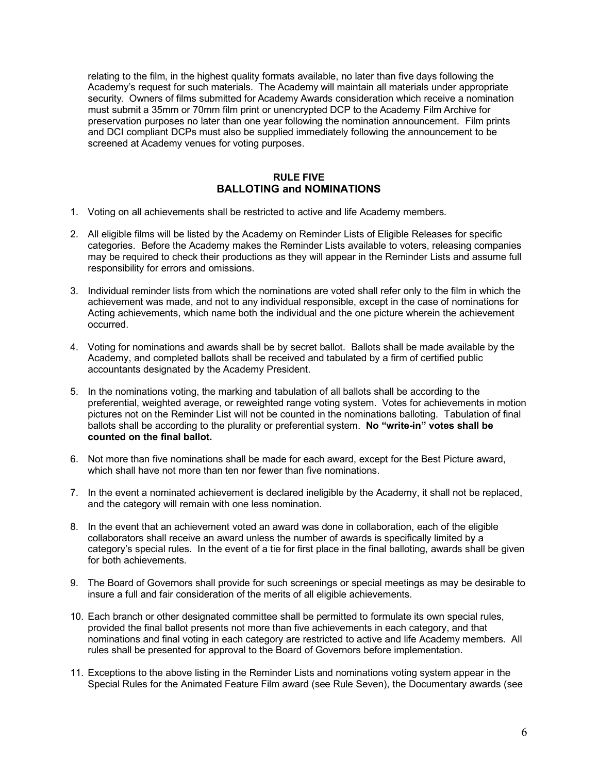<span id="page-6-0"></span>relating to the film, in the highest quality formats available, no later than five days following the Academy's request for such materials. The Academy will maintain all materials under appropriate security. Owners of films submitted for Academy Awards consideration which receive a nomination must submit a 35mm or 70mm film print or unencrypted DCP to the Academy Film Archive for preservation purposes no later than one year following the nomination announcement. Film prints and DCI compliant DCPs must also be supplied immediately following the announcement to be screened at Academy venues for voting purposes.

## **RULE FIVE BALLOTING and NOMINATIONS**

- 1. Voting on all achievements shall be restricted to active and life Academy members.
- 2. All eligible films will be listed by the Academy on Reminder Lists of Eligible Releases for specific categories. Before the Academy makes the Reminder Lists available to voters, releasing companies may be required to check their productions as they will appear in the Reminder Lists and assume full responsibility for errors and omissions.
- 3. Individual reminder lists from which the nominations are voted shall refer only to the film in which the achievement was made, and not to any individual responsible, except in the case of nominations for Acting achievements, which name both the individual and the one picture wherein the achievement occurred.
- 4. Voting for nominations and awards shall be by secret ballot. Ballots shall be made available by the Academy, and completed ballots shall be received and tabulated by a firm of certified public accountants designated by the Academy President.
- 5. In the nominations voting, the marking and tabulation of all ballots shall be according to the preferential, weighted average, or reweighted range voting system. Votes for achievements in motion pictures not on the Reminder List will not be counted in the nominations balloting. Tabulation of final ballots shall be according to the plurality or preferential system. **No "write-in" votes shall be counted on the final ballot.**
- 6. Not more than five nominations shall be made for each award, except for the Best Picture award, which shall have not more than ten nor fewer than five nominations.
- 7. In the event a nominated achievement is declared ineligible by the Academy, it shall not be replaced, and the category will remain with one less nomination.
- 8. In the event that an achievement voted an award was done in collaboration, each of the eligible collaborators shall receive an award unless the number of awards is specifically limited by a category's special rules. In the event of a tie for first place in the final balloting, awards shall be given for both achievements.
- 9. The Board of Governors shall provide for such screenings or special meetings as may be desirable to insure a full and fair consideration of the merits of all eligible achievements.
- 10. Each branch or other designated committee shall be permitted to formulate its own special rules, provided the final ballot presents not more than five achievements in each category, and that nominations and final voting in each category are restricted to active and life Academy members. All rules shall be presented for approval to the Board of Governors before implementation.
- 11. Exceptions to the above listing in the Reminder Lists and nominations voting system appear in the Special Rules for the Animated Feature Film award (see Rule Seven), the Documentary awards (see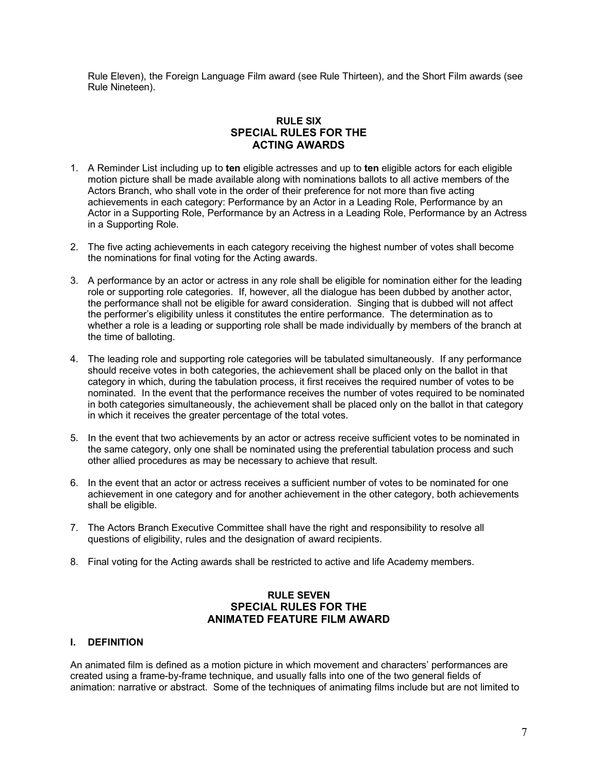<span id="page-7-0"></span>Rule Eleven), the Foreign Language Film award (see Rule Thirteen), and the Short Film awards (see Rule Nineteen).

# **RULE SIX SPECIAL RULES FOR THE ACTING AWARDS**

- 1. A Reminder List including up to **ten** eligible actresses and up to **ten** eligible actors for each eligible motion picture shall be made available along with nominations ballots to all active members of the Actors Branch, who shall vote in the order of their preference for not more than five acting achievements in each category: Performance by an Actor in a Leading Role, Performance by an Actor in a Supporting Role, Performance by an Actress in a Leading Role, Performance by an Actress in a Supporting Role.
- 2. The five acting achievements in each category receiving the highest number of votes shall become the nominations for final voting for the Acting awards.
- 3. A performance by an actor or actress in any role shall be eligible for nomination either for the leading role or supporting role categories. If, however, all the dialogue has been dubbed by another actor, the performance shall not be eligible for award consideration. Singing that is dubbed will not affect the performer's eligibility unless it constitutes the entire performance. The determination as to whether a role is a leading or supporting role shall be made individually by members of the branch at the time of balloting.
- 4. The leading role and supporting role categories will be tabulated simultaneously. If any performance should receive votes in both categories, the achievement shall be placed only on the ballot in that category in which, during the tabulation process, it first receives the required number of votes to be nominated. In the event that the performance receives the number of votes required to be nominated in both categories simultaneously, the achievement shall be placed only on the ballot in that category in which it receives the greater percentage of the total votes.
- 5. In the event that two achievements by an actor or actress receive sufficient votes to be nominated in the same category, only one shall be nominated using the preferential tabulation process and such other allied procedures as may be necessary to achieve that result.
- 6. In the event that an actor or actress receives a sufficient number of votes to be nominated for one achievement in one category and for another achievement in the other category, both achievements shall be eligible.
- 7. The Actors Branch Executive Committee shall have the right and responsibility to resolve all questions of eligibility, rules and the designation of award recipients.
- 8. Final voting for the Acting awards shall be restricted to active and life Academy members.

## **RULE SEVEN SPECIAL RULES FOR THE ANIMATED FEATURE FILM AWARD**

## **I. DEFINITION**

An animated film is defined as a motion picture in which movement and characters' performances are created using a frame-by-frame technique, and usually falls into one of the two general fields of animation: narrative or abstract. Some of the techniques of animating films include but are not limited to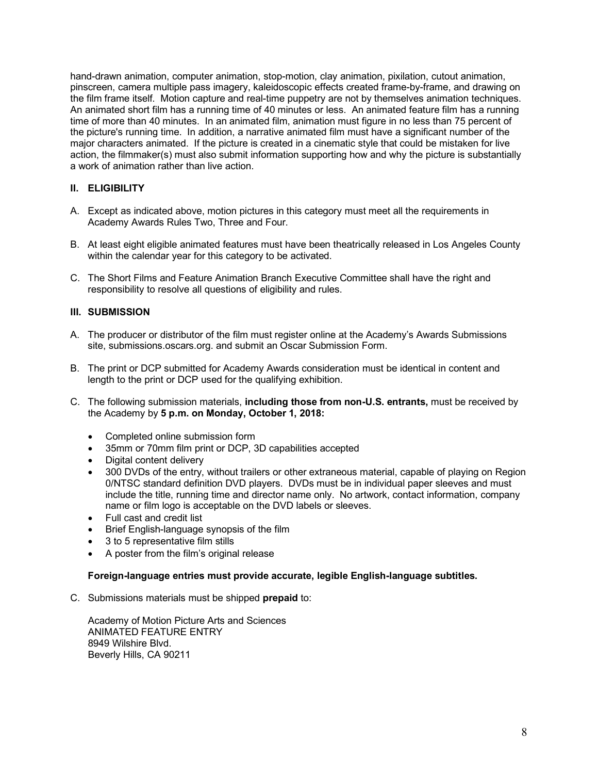hand-drawn animation, computer animation, stop-motion, clay animation, pixilation, cutout animation, pinscreen, camera multiple pass imagery, kaleidoscopic effects created frame-by-frame, and drawing on the film frame itself. Motion capture and real-time puppetry are not by themselves animation techniques. An animated short film has a running time of 40 minutes or less. An animated feature film has a running time of more than 40 minutes. In an animated film, animation must figure in no less than 75 percent of the picture's running time. In addition, a narrative animated film must have a significant number of the major characters animated. If the picture is created in a cinematic style that could be mistaken for live action, the filmmaker(s) must also submit information supporting how and why the picture is substantially a work of animation rather than live action.

# **II. ELIGIBILITY**

- A. Except as indicated above, motion pictures in this category must meet all the requirements in Academy Awards Rules Two, Three and Four.
- B. At least eight eligible animated features must have been theatrically released in Los Angeles County within the calendar year for this category to be activated.
- C. The Short Films and Feature Animation Branch Executive Committee shall have the right and responsibility to resolve all questions of eligibility and rules.

## **III. SUBMISSION**

- A. The producer or distributor of the film must register online at the Academy's Awards Submissions site, submissions.oscars.org. and submit an Oscar Submission Form.
- B. The print or DCP submitted for Academy Awards consideration must be identical in content and length to the print or DCP used for the qualifying exhibition.
- C. The following submission materials, **including those from non-U.S. entrants,** must be received by the Academy by **5 p.m. on Monday, October 1, 2018:**
	- Completed online submission form
	- 35mm or 70mm film print or DCP, 3D capabilities accepted
	- Digital content delivery
	- 300 DVDs of the entry, without trailers or other extraneous material, capable of playing on Region 0/NTSC standard definition DVD players. DVDs must be in individual paper sleeves and must include the title, running time and director name only. No artwork, contact information, company name or film logo is acceptable on the DVD labels or sleeves.
	- Full cast and credit list
	- Brief English-language synopsis of the film
	- 3 to 5 representative film stills
	- A poster from the film's original release

#### **Foreign-language entries must provide accurate, legible English-language subtitles.**

C. Submissions materials must be shipped **prepaid** to:

Academy of Motion Picture Arts and Sciences ANIMATED FEATURE ENTRY 8949 Wilshire Blvd. Beverly Hills, CA 90211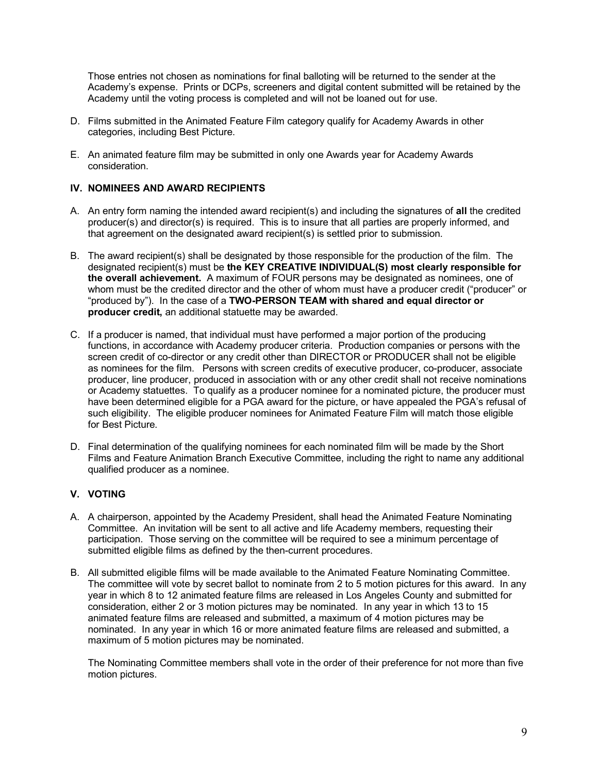Those entries not chosen as nominations for final balloting will be returned to the sender at the Academy's expense. Prints or DCPs, screeners and digital content submitted will be retained by the Academy until the voting process is completed and will not be loaned out for use.

- D. Films submitted in the Animated Feature Film category qualify for Academy Awards in other categories, including Best Picture.
- E. An animated feature film may be submitted in only one Awards year for Academy Awards consideration.

## **IV. NOMINEES AND AWARD RECIPIENTS**

- A. An entry form naming the intended award recipient(s) and including the signatures of **all** the credited producer(s) and director(s) is required. This is to insure that all parties are properly informed, and that agreement on the designated award recipient(s) is settled prior to submission.
- B. The award recipient(s) shall be designated by those responsible for the production of the film. The designated recipient(s) must be **the KEY CREATIVE INDIVIDUAL(S) most clearly responsible for the overall achievement.** A maximum of FOUR persons may be designated as nominees, one of whom must be the credited director and the other of whom must have a producer credit ("producer" or "produced by"). In the case of a **TWO-PERSON TEAM with shared and equal director or producer credit,** an additional statuette may be awarded.
- C. If a producer is named, that individual must have performed a major portion of the producing functions, in accordance with Academy producer criteria. Production companies or persons with the screen credit of co-director or any credit other than DIRECTOR or PRODUCER shall not be eligible as nominees for the film. Persons with screen credits of executive producer, co-producer, associate producer, line producer, produced in association with or any other credit shall not receive nominations or Academy statuettes. To qualify as a producer nominee for a nominated picture, the producer must have been determined eligible for a PGA award for the picture, or have appealed the PGA's refusal of such eligibility. The eligible producer nominees for Animated Feature Film will match those eligible for Best Picture.
- D. Final determination of the qualifying nominees for each nominated film will be made by the Short Films and Feature Animation Branch Executive Committee, including the right to name any additional qualified producer as a nominee.

## **V. VOTING**

- A. A chairperson, appointed by the Academy President, shall head the Animated Feature Nominating Committee. An invitation will be sent to all active and life Academy members, requesting their participation. Those serving on the committee will be required to see a minimum percentage of submitted eligible films as defined by the then-current procedures.
- B. All submitted eligible films will be made available to the Animated Feature Nominating Committee. The committee will vote by secret ballot to nominate from 2 to 5 motion pictures for this award. In any year in which 8 to 12 animated feature films are released in Los Angeles County and submitted for consideration, either 2 or 3 motion pictures may be nominated. In any year in which 13 to 15 animated feature films are released and submitted, a maximum of 4 motion pictures may be nominated. In any year in which 16 or more animated feature films are released and submitted, a maximum of 5 motion pictures may be nominated.

The Nominating Committee members shall vote in the order of their preference for not more than five motion pictures.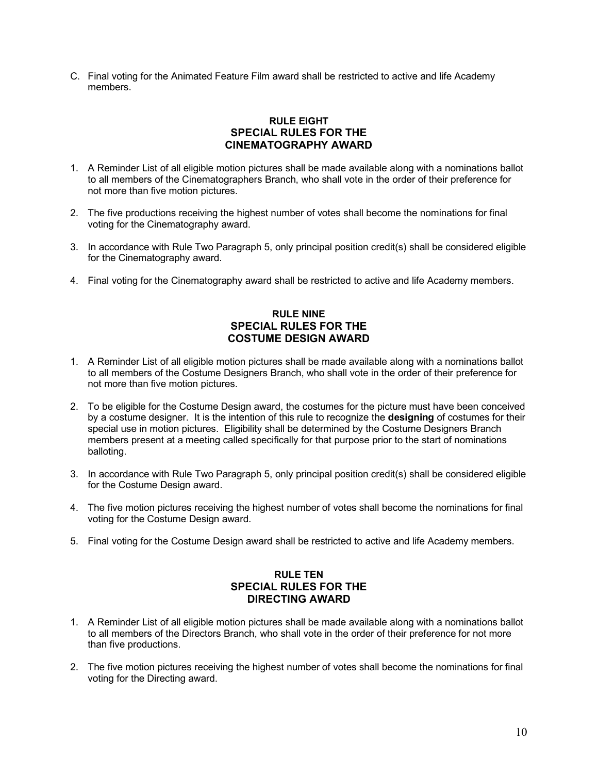<span id="page-10-0"></span>C. Final voting for the Animated Feature Film award shall be restricted to active and life Academy members.

# **RULE EIGHT SPECIAL RULES FOR THE CINEMATOGRAPHY AWARD**

- 1. A Reminder List of all eligible motion pictures shall be made available along with a nominations ballot to all members of the Cinematographers Branch, who shall vote in the order of their preference for not more than five motion pictures.
- 2. The five productions receiving the highest number of votes shall become the nominations for final voting for the Cinematography award.
- 3. In accordance with Rule Two Paragraph 5, only principal position credit(s) shall be considered eligible for the Cinematography award.
- 4. Final voting for the Cinematography award shall be restricted to active and life Academy members.

# **RULE NINE SPECIAL RULES FOR THE COSTUME DESIGN AWARD**

- 1. A Reminder List of all eligible motion pictures shall be made available along with a nominations ballot to all members of the Costume Designers Branch, who shall vote in the order of their preference for not more than five motion pictures.
- 2. To be eligible for the Costume Design award, the costumes for the picture must have been conceived by a costume designer. It is the intention of this rule to recognize the **designing** of costumes for their special use in motion pictures. Eligibility shall be determined by the Costume Designers Branch members present at a meeting called specifically for that purpose prior to the start of nominations balloting.
- 3. In accordance with Rule Two Paragraph 5, only principal position credit(s) shall be considered eligible for the Costume Design award.
- 4. The five motion pictures receiving the highest number of votes shall become the nominations for final voting for the Costume Design award.
- 5. Final voting for the Costume Design award shall be restricted to active and life Academy members.

# **RULE TEN SPECIAL RULES FOR THE DIRECTING AWARD**

- 1. A Reminder List of all eligible motion pictures shall be made available along with a nominations ballot to all members of the Directors Branch, who shall vote in the order of their preference for not more than five productions.
- 2. The five motion pictures receiving the highest number of votes shall become the nominations for final voting for the Directing award.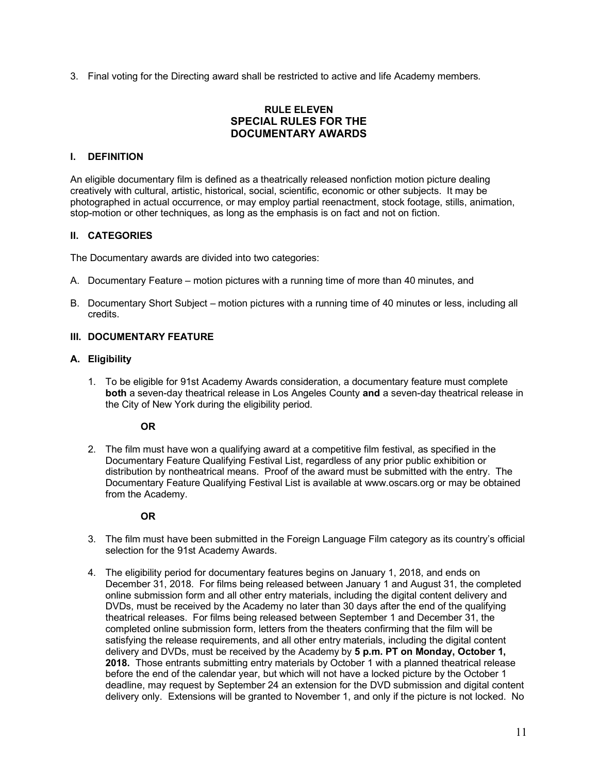<span id="page-11-0"></span>3. Final voting for the Directing award shall be restricted to active and life Academy members.

# **RULE ELEVEN SPECIAL RULES FOR THE DOCUMENTARY AWARDS**

#### **I. DEFINITION**

An eligible documentary film is defined as a theatrically released nonfiction motion picture dealing creatively with cultural, artistic, historical, social, scientific, economic or other subjects. It may be photographed in actual occurrence, or may employ partial reenactment, stock footage, stills, animation, stop-motion or other techniques, as long as the emphasis is on fact and not on fiction.

#### **II. CATEGORIES**

The Documentary awards are divided into two categories:

- A. Documentary Feature motion pictures with a running time of more than 40 minutes, and
- B. Documentary Short Subject motion pictures with a running time of 40 minutes or less, including all credits.

## **III. DOCUMENTARY FEATURE**

#### **A. Eligibility**

1. To be eligible for 91st Academy Awards consideration, a documentary feature must complete **both** a seven-day theatrical release in Los Angeles County **and** a seven-day theatrical release in the City of New York during the eligibility period.

#### **OR**

2. The film must have won a qualifying award at a competitive film festival, as specified in the Documentary Feature Qualifying Festival List, regardless of any prior public exhibition or distribution by nontheatrical means. Proof of the award must be submitted with the entry. The Documentary Feature Qualifying Festival List is available at www.oscars.org or may be obtained from the Academy.

## **OR**

- 3. The film must have been submitted in the Foreign Language Film category as its country's official selection for the 91st Academy Awards.
- 4. The eligibility period for documentary features begins on January 1, 2018, and ends on December 31, 2018. For films being released between January 1 and August 31, the completed online submission form and all other entry materials, including the digital content delivery and DVDs, must be received by the Academy no later than 30 days after the end of the qualifying theatrical releases. For films being released between September 1 and December 31, the completed online submission form, letters from the theaters confirming that the film will be satisfying the release requirements, and all other entry materials, including the digital content delivery and DVDs, must be received by the Academy by **5 p.m. PT on Monday, October 1, 2018.** Those entrants submitting entry materials by October 1 with a planned theatrical release before the end of the calendar year, but which will not have a locked picture by the October 1 deadline, may request by September 24 an extension for the DVD submission and digital content delivery only. Extensions will be granted to November 1, and only if the picture is not locked. No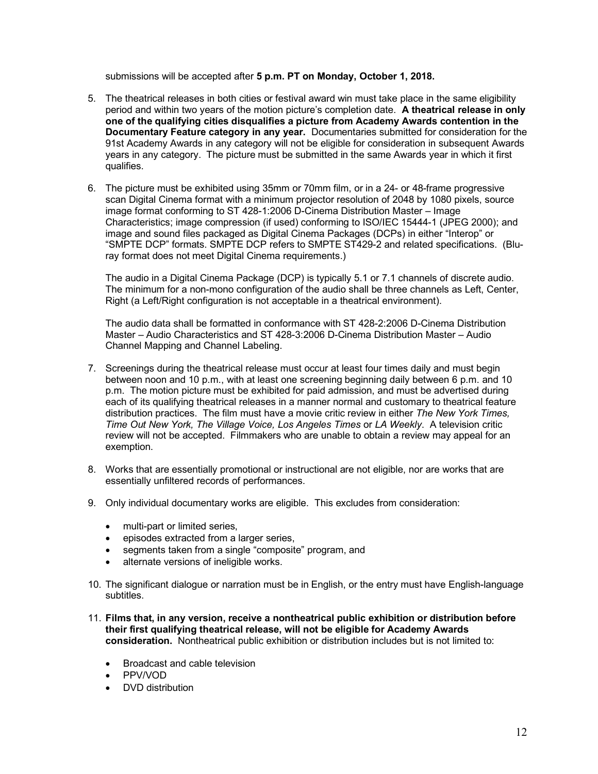submissions will be accepted after **5 p.m. PT on Monday, October 1, 2018.** 

- 5. The theatrical releases in both cities or festival award win must take place in the same eligibility period and within two years of the motion picture's completion date. **A theatrical release in only one of the qualifying cities disqualifies a picture from Academy Awards contention in the Documentary Feature category in any year.** Documentaries submitted for consideration for the 91st Academy Awards in any category will not be eligible for consideration in subsequent Awards years in any category. The picture must be submitted in the same Awards year in which it first qualifies.
- 6. The picture must be exhibited using 35mm or 70mm film, or in a 24- or 48-frame progressive scan Digital Cinema format with a minimum projector resolution of 2048 by 1080 pixels, source image format conforming to ST 428-1:2006 D-Cinema Distribution Master – Image Characteristics; image compression (if used) conforming to ISO/IEC 15444-1 (JPEG 2000); and image and sound files packaged as Digital Cinema Packages (DCPs) in either "Interop" or "SMPTE DCP" formats. SMPTE DCP refers to SMPTE ST429-2 and related specifications. (Bluray format does not meet Digital Cinema requirements.)

The audio in a Digital Cinema Package (DCP) is typically 5.1 or 7.1 channels of discrete audio. The minimum for a non-mono configuration of the audio shall be three channels as Left, Center, Right (a Left/Right configuration is not acceptable in a theatrical environment).

The audio data shall be formatted in conformance with ST 428-2:2006 D-Cinema Distribution Master – Audio Characteristics and ST 428-3:2006 D-Cinema Distribution Master – Audio Channel Mapping and Channel Labeling.

- 7. Screenings during the theatrical release must occur at least four times daily and must begin between noon and 10 p.m., with at least one screening beginning daily between 6 p.m. and 10 p.m. The motion picture must be exhibited for paid admission, and must be advertised during each of its qualifying theatrical releases in a manner normal and customary to theatrical feature distribution practices. The film must have a movie critic review in either *The New York Times, Time Out New York, The Village Voice, Los Angeles Times* or *LA Weekly*. A television critic review will not be accepted. Filmmakers who are unable to obtain a review may appeal for an exemption.
- 8. Works that are essentially promotional or instructional are not eligible, nor are works that are essentially unfiltered records of performances.
- 9. Only individual documentary works are eligible. This excludes from consideration:
	- multi-part or limited series,
	- episodes extracted from a larger series,
	- segments taken from a single "composite" program, and
	- alternate versions of ineligible works.
- 10. The significant dialogue or narration must be in English, or the entry must have English-language subtitles.
- 11. **Films that, in any version, receive a nontheatrical public exhibition or distribution before their first qualifying theatrical release, will not be eligible for Academy Awards consideration.** Nontheatrical public exhibition or distribution includes but is not limited to:
	- Broadcast and cable television
	- PPV/VOD
	- DVD distribution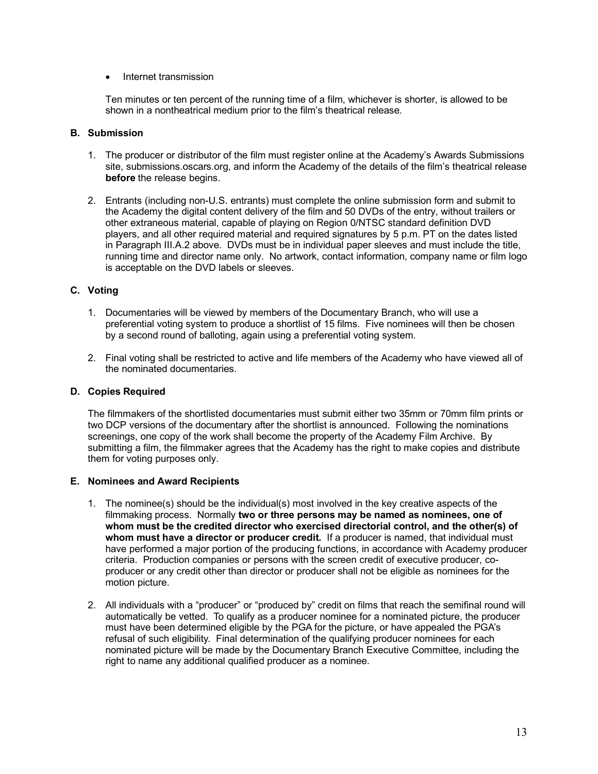#### • Internet transmission

Ten minutes or ten percent of the running time of a film, whichever is shorter, is allowed to be shown in a nontheatrical medium prior to the film's theatrical release.

#### **B. Submission**

- 1. The producer or distributor of the film must register online at the Academy's Awards Submissions site, submissions.oscars.org, and inform the Academy of the details of the film's theatrical release **before** the release begins.
- 2. Entrants (including non-U.S. entrants) must complete the online submission form and submit to the Academy the digital content delivery of the film and 50 DVDs of the entry, without trailers or other extraneous material, capable of playing on Region 0/NTSC standard definition DVD players, and all other required material and required signatures by 5 p.m. PT on the dates listed in Paragraph III.A.2 above. DVDs must be in individual paper sleeves and must include the title, running time and director name only. No artwork, contact information, company name or film logo is acceptable on the DVD labels or sleeves.

## **C. Voting**

- 1. Documentaries will be viewed by members of the Documentary Branch, who will use a preferential voting system to produce a shortlist of 15 films. Five nominees will then be chosen by a second round of balloting, again using a preferential voting system.
- 2. Final voting shall be restricted to active and life members of the Academy who have viewed all of the nominated documentaries.

#### **D. Copies Required**

The filmmakers of the shortlisted documentaries must submit either two 35mm or 70mm film prints or two DCP versions of the documentary after the shortlist is announced. Following the nominations screenings, one copy of the work shall become the property of the Academy Film Archive. By submitting a film, the filmmaker agrees that the Academy has the right to make copies and distribute them for voting purposes only.

#### **E. Nominees and Award Recipients**

- 1. The nominee(s) should be the individual(s) most involved in the key creative aspects of the filmmaking process. Normally **two or three persons may be named as nominees, one of whom must be the credited director who exercised directorial control, and the other(s) of whom must have a director or producer credit.** If a producer is named, that individual must have performed a major portion of the producing functions, in accordance with Academy producer criteria. Production companies or persons with the screen credit of executive producer, coproducer or any credit other than director or producer shall not be eligible as nominees for the motion picture.
- 2. All individuals with a "producer" or "produced by" credit on films that reach the semifinal round will automatically be vetted. To qualify as a producer nominee for a nominated picture, the producer must have been determined eligible by the PGA for the picture, or have appealed the PGA's refusal of such eligibility. Final determination of the qualifying producer nominees for each nominated picture will be made by the Documentary Branch Executive Committee, including the right to name any additional qualified producer as a nominee.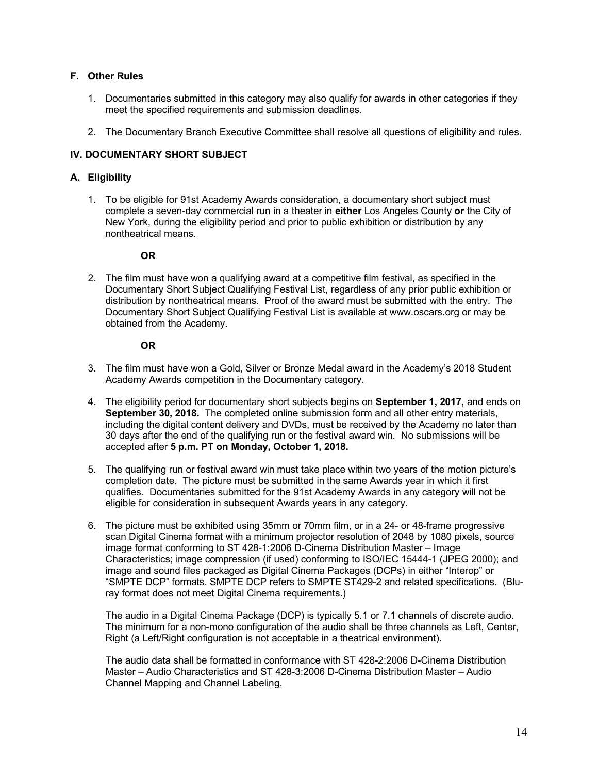# **F. Other Rules**

- 1. Documentaries submitted in this category may also qualify for awards in other categories if they meet the specified requirements and submission deadlines.
- 2. The Documentary Branch Executive Committee shall resolve all questions of eligibility and rules.

# **IV. DOCUMENTARY SHORT SUBJECT**

# **A. Eligibility**

1. To be eligible for 91st Academy Awards consideration, a documentary short subject must complete a seven-day commercial run in a theater in **either** Los Angeles County **or** the City of New York, during the eligibility period and prior to public exhibition or distribution by any nontheatrical means.

#### **OR**

2. The film must have won a qualifying award at a competitive film festival, as specified in the Documentary Short Subject Qualifying Festival List, regardless of any prior public exhibition or distribution by nontheatrical means. Proof of the award must be submitted with the entry. The Documentary Short Subject Qualifying Festival List is available at www.oscars.org or may be obtained from the Academy.

#### **OR**

- 3. The film must have won a Gold, Silver or Bronze Medal award in the Academy's 2018 Student Academy Awards competition in the Documentary category.
- 4. The eligibility period for documentary short subjects begins on **September 1, 2017,** and ends on **September 30, 2018.** The completed online submission form and all other entry materials, including the digital content delivery and DVDs, must be received by the Academy no later than 30 days after the end of the qualifying run or the festival award win. No submissions will be accepted after **5 p.m. PT on Monday, October 1, 2018.**
- 5. The qualifying run or festival award win must take place within two years of the motion picture's completion date. The picture must be submitted in the same Awards year in which it first qualifies. Documentaries submitted for the 91st Academy Awards in any category will not be eligible for consideration in subsequent Awards years in any category.
- 6. The picture must be exhibited using 35mm or 70mm film, or in a 24- or 48-frame progressive scan Digital Cinema format with a minimum projector resolution of 2048 by 1080 pixels, source image format conforming to ST 428-1:2006 D-Cinema Distribution Master – Image Characteristics; image compression (if used) conforming to ISO/IEC 15444-1 (JPEG 2000); and image and sound files packaged as Digital Cinema Packages (DCPs) in either "Interop" or "SMPTE DCP" formats. SMPTE DCP refers to SMPTE ST429-2 and related specifications. (Bluray format does not meet Digital Cinema requirements.)

The audio in a Digital Cinema Package (DCP) is typically 5.1 or 7.1 channels of discrete audio. The minimum for a non-mono configuration of the audio shall be three channels as Left, Center, Right (a Left/Right configuration is not acceptable in a theatrical environment).

The audio data shall be formatted in conformance with ST 428-2:2006 D-Cinema Distribution Master – Audio Characteristics and ST 428-3:2006 D-Cinema Distribution Master – Audio Channel Mapping and Channel Labeling.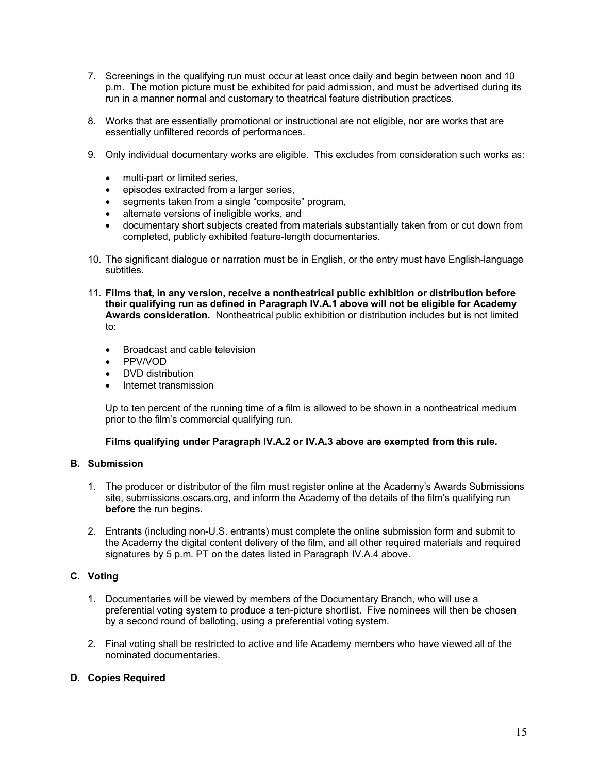- 7. Screenings in the qualifying run must occur at least once daily and begin between noon and 10 p.m. The motion picture must be exhibited for paid admission, and must be advertised during its run in a manner normal and customary to theatrical feature distribution practices.
- 8. Works that are essentially promotional or instructional are not eligible, nor are works that are essentially unfiltered records of performances.
- 9. Only individual documentary works are eligible. This excludes from consideration such works as:
	- multi-part or limited series,
	- episodes extracted from a larger series,
	- segments taken from a single "composite" program,
	- alternate versions of ineligible works, and
	- documentary short subjects created from materials substantially taken from or cut down from completed, publicly exhibited feature-length documentaries.
- 10. The significant dialogue or narration must be in English, or the entry must have English-language subtitles.
- 11. **Films that, in any version, receive a nontheatrical public exhibition or distribution before their qualifying run as defined in Paragraph IV.A.1 above will not be eligible for Academy Awards consideration.** Nontheatrical public exhibition or distribution includes but is not limited to:
	- Broadcast and cable television
	- PPV/VOD
	- DVD distribution
	- Internet transmission

Up to ten percent of the running time of a film is allowed to be shown in a nontheatrical medium prior to the film's commercial qualifying run.

## **Films qualifying under Paragraph IV.A.2 or IV.A.3 above are exempted from this rule.**

## **B. Submission**

- 1. The producer or distributor of the film must register online at the Academy's Awards Submissions site, submissions.oscars.org, and inform the Academy of the details of the film's qualifying run **before** the run begins.
- 2. Entrants (including non-U.S. entrants) must complete the online submission form and submit to the Academy the digital content delivery of the film, and all other required materials and required signatures by 5 p.m. PT on the dates listed in Paragraph IV.A.4 above.

## **C. Voting**

- 1. Documentaries will be viewed by members of the Documentary Branch, who will use a preferential voting system to produce a ten-picture shortlist. Five nominees will then be chosen by a second round of balloting, using a preferential voting system.
- 2. Final voting shall be restricted to active and life Academy members who have viewed all of the nominated documentaries.

## **D. Copies Required**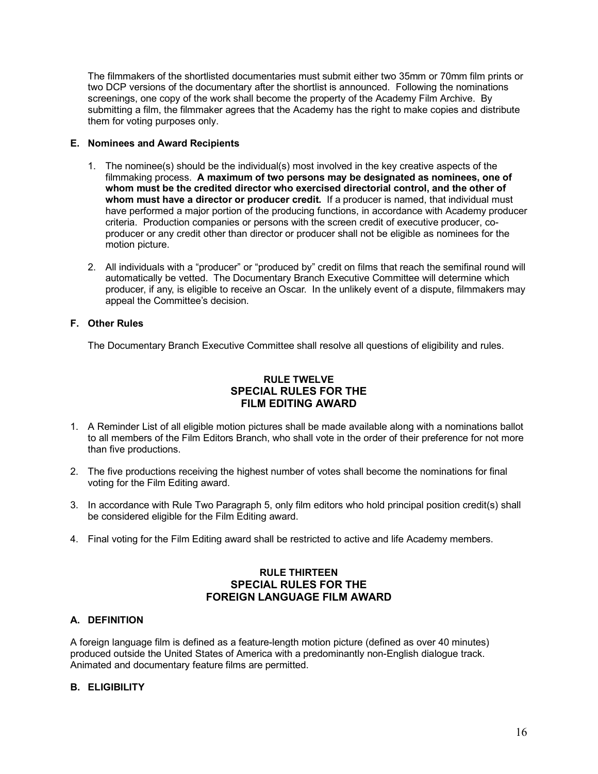<span id="page-16-0"></span>The filmmakers of the shortlisted documentaries must submit either two 35mm or 70mm film prints or two DCP versions of the documentary after the shortlist is announced. Following the nominations screenings, one copy of the work shall become the property of the Academy Film Archive. By submitting a film, the filmmaker agrees that the Academy has the right to make copies and distribute them for voting purposes only.

## **E. Nominees and Award Recipients**

- 1. The nominee(s) should be the individual(s) most involved in the key creative aspects of the filmmaking process. **A maximum of two persons may be designated as nominees, one of whom must be the credited director who exercised directorial control, and the other of whom must have a director or producer credit.** If a producer is named, that individual must have performed a major portion of the producing functions, in accordance with Academy producer criteria. Production companies or persons with the screen credit of executive producer, coproducer or any credit other than director or producer shall not be eligible as nominees for the motion picture.
- 2. All individuals with a "producer" or "produced by" credit on films that reach the semifinal round will automatically be vetted. The Documentary Branch Executive Committee will determine which producer, if any, is eligible to receive an Oscar. In the unlikely event of a dispute, filmmakers may appeal the Committee's decision.

#### **F. Other Rules**

The Documentary Branch Executive Committee shall resolve all questions of eligibility and rules.

# **RULE TWELVE SPECIAL RULES FOR THE FILM EDITING AWARD**

- 1. A Reminder List of all eligible motion pictures shall be made available along with a nominations ballot to all members of the Film Editors Branch, who shall vote in the order of their preference for not more than five productions.
- 2. The five productions receiving the highest number of votes shall become the nominations for final voting for the Film Editing award.
- 3. In accordance with Rule Two Paragraph 5, only film editors who hold principal position credit(s) shall be considered eligible for the Film Editing award.
- 4. Final voting for the Film Editing award shall be restricted to active and life Academy members.

# **RULE THIRTEEN SPECIAL RULES FOR THE FOREIGN LANGUAGE FILM AWARD**

## **A. DEFINITION**

A foreign language film is defined as a feature-length motion picture (defined as over 40 minutes) produced outside the United States of America with a predominantly non-English dialogue track. Animated and documentary feature films are permitted.

## **B. ELIGIBILITY**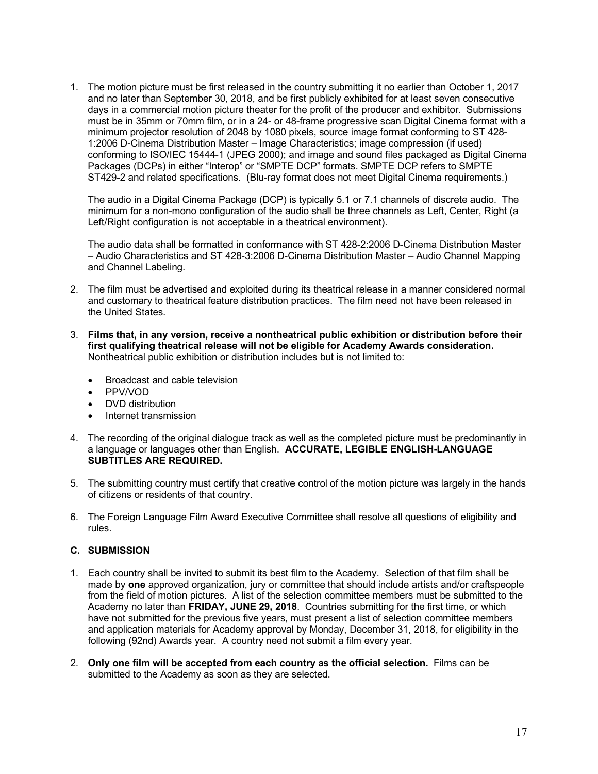1. The motion picture must be first released in the country submitting it no earlier than October 1, 2017 and no later than September 30, 2018, and be first publicly exhibited for at least seven consecutive days in a commercial motion picture theater for the profit of the producer and exhibitor. Submissions must be in 35mm or 70mm film, or in a 24- or 48-frame progressive scan Digital Cinema format with a minimum projector resolution of 2048 by 1080 pixels, source image format conforming to ST 428- 1:2006 D-Cinema Distribution Master – Image Characteristics; image compression (if used) conforming to ISO/IEC 15444-1 (JPEG 2000); and image and sound files packaged as Digital Cinema Packages (DCPs) in either "Interop" or "SMPTE DCP" formats. SMPTE DCP refers to SMPTE ST429-2 and related specifications. (Blu-ray format does not meet Digital Cinema requirements.)

The audio in a Digital Cinema Package (DCP) is typically 5.1 or 7.1 channels of discrete audio. The minimum for a non-mono configuration of the audio shall be three channels as Left, Center, Right (a Left/Right configuration is not acceptable in a theatrical environment).

The audio data shall be formatted in conformance with ST 428-2:2006 D-Cinema Distribution Master – Audio Characteristics and ST 428-3:2006 D-Cinema Distribution Master – Audio Channel Mapping and Channel Labeling.

- 2. The film must be advertised and exploited during its theatrical release in a manner considered normal and customary to theatrical feature distribution practices. The film need not have been released in the United States.
- 3. **Films that, in any version, receive a nontheatrical public exhibition or distribution before their first qualifying theatrical release will not be eligible for Academy Awards consideration.** Nontheatrical public exhibition or distribution includes but is not limited to:
	- Broadcast and cable television
	- PPV/VOD
	- DVD distribution
	- Internet transmission
- 4. The recording of the original dialogue track as well as the completed picture must be predominantly in a language or languages other than English. **ACCURATE, LEGIBLE ENGLISH-LANGUAGE SUBTITLES ARE REQUIRED.**
- 5. The submitting country must certify that creative control of the motion picture was largely in the hands of citizens or residents of that country.
- 6. The Foreign Language Film Award Executive Committee shall resolve all questions of eligibility and rules.

## **C. SUBMISSION**

- 1. Each country shall be invited to submit its best film to the Academy. Selection of that film shall be made by **one** approved organization, jury or committee that should include artists and/or craftspeople from the field of motion pictures. A list of the selection committee members must be submitted to the Academy no later than **FRIDAY, JUNE 29, 2018**. Countries submitting for the first time, or which have not submitted for the previous five years, must present a list of selection committee members and application materials for Academy approval by Monday, December 31, 2018, for eligibility in the following (92nd) Awards year. A country need not submit a film every year.
- 2. **Only one film will be accepted from each country as the official selection.** Films can be submitted to the Academy as soon as they are selected.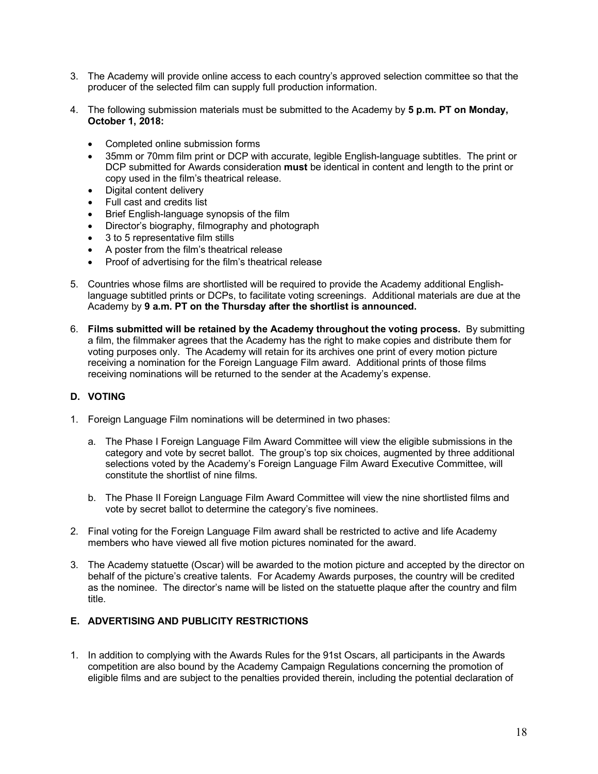- 3. The Academy will provide online access to each country's approved selection committee so that the producer of the selected film can supply full production information.
- 4. The following submission materials must be submitted to the Academy by **5 p.m. PT on Monday, October 1, 2018:**
	- Completed online submission forms
	- 35mm or 70mm film print or DCP with accurate, legible English-language subtitles. The print or DCP submitted for Awards consideration **must** be identical in content and length to the print or copy used in the film's theatrical release.
	- Digital content delivery
	- Full cast and credits list
	- Brief English-language synopsis of the film
	- Director's biography, filmography and photograph
	- 3 to 5 representative film stills
	- A poster from the film's theatrical release
	- Proof of advertising for the film's theatrical release
- 5. Countries whose films are shortlisted will be required to provide the Academy additional Englishlanguage subtitled prints or DCPs, to facilitate voting screenings. Additional materials are due at the Academy by **9 a.m. PT on the Thursday after the shortlist is announced.**
- 6. **Films submitted will be retained by the Academy throughout the voting process.** By submitting a film, the filmmaker agrees that the Academy has the right to make copies and distribute them for voting purposes only. The Academy will retain for its archives one print of every motion picture receiving a nomination for the Foreign Language Film award. Additional prints of those films receiving nominations will be returned to the sender at the Academy's expense.

## **D. VOTING**

- 1. Foreign Language Film nominations will be determined in two phases:
	- a. The Phase I Foreign Language Film Award Committee will view the eligible submissions in the category and vote by secret ballot. The group's top six choices, augmented by three additional selections voted by the Academy's Foreign Language Film Award Executive Committee, will constitute the shortlist of nine films.
	- b. The Phase II Foreign Language Film Award Committee will view the nine shortlisted films and vote by secret ballot to determine the category's five nominees.
- 2. Final voting for the Foreign Language Film award shall be restricted to active and life Academy members who have viewed all five motion pictures nominated for the award.
- 3. The Academy statuette (Oscar) will be awarded to the motion picture and accepted by the director on behalf of the picture's creative talents. For Academy Awards purposes, the country will be credited as the nominee. The director's name will be listed on the statuette plaque after the country and film title.

## **E. ADVERTISING AND PUBLICITY RESTRICTIONS**

1. In addition to complying with the Awards Rules for the 91st Oscars, all participants in the Awards competition are also bound by the Academy Campaign Regulations concerning the promotion of eligible films and are subject to the penalties provided therein, including the potential declaration of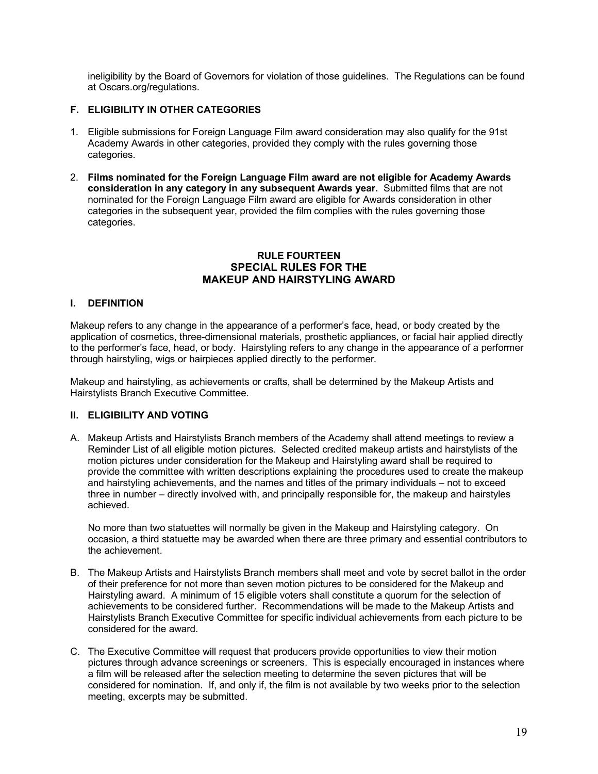<span id="page-19-0"></span>ineligibility by the Board of Governors for violation of those guidelines. The Regulations can be found at Oscars.org/regulations.

# **F. ELIGIBILITY IN OTHER CATEGORIES**

- 1. Eligible submissions for Foreign Language Film award consideration may also qualify for the 91st Academy Awards in other categories, provided they comply with the rules governing those categories.
- 2. **Films nominated for the Foreign Language Film award are not eligible for Academy Awards consideration in any category in any subsequent Awards year.** Submitted films that are not nominated for the Foreign Language Film award are eligible for Awards consideration in other categories in the subsequent year, provided the film complies with the rules governing those categories.

#### **RULE FOURTEEN SPECIAL RULES FOR THE MAKEUP AND HAIRSTYLING AWARD**

## **I. DEFINITION**

Makeup refers to any change in the appearance of a performer's face, head, or body created by the application of cosmetics, three-dimensional materials, prosthetic appliances, or facial hair applied directly to the performer's face, head, or body. Hairstyling refers to any change in the appearance of a performer through hairstyling, wigs or hairpieces applied directly to the performer.

Makeup and hairstyling, as achievements or crafts, shall be determined by the Makeup Artists and Hairstylists Branch Executive Committee.

#### **II. ELIGIBILITY AND VOTING**

A. Makeup Artists and Hairstylists Branch members of the Academy shall attend meetings to review a Reminder List of all eligible motion pictures. Selected credited makeup artists and hairstylists of the motion pictures under consideration for the Makeup and Hairstyling award shall be required to provide the committee with written descriptions explaining the procedures used to create the makeup and hairstyling achievements, and the names and titles of the primary individuals – not to exceed three in number – directly involved with, and principally responsible for, the makeup and hairstyles achieved.

No more than two statuettes will normally be given in the Makeup and Hairstyling category. On occasion, a third statuette may be awarded when there are three primary and essential contributors to the achievement.

- B. The Makeup Artists and Hairstylists Branch members shall meet and vote by secret ballot in the order of their preference for not more than seven motion pictures to be considered for the Makeup and Hairstyling award. A minimum of 15 eligible voters shall constitute a quorum for the selection of achievements to be considered further. Recommendations will be made to the Makeup Artists and Hairstylists Branch Executive Committee for specific individual achievements from each picture to be considered for the award.
- C. The Executive Committee will request that producers provide opportunities to view their motion pictures through advance screenings or screeners. This is especially encouraged in instances where a film will be released after the selection meeting to determine the seven pictures that will be considered for nomination. If, and only if, the film is not available by two weeks prior to the selection meeting, excerpts may be submitted.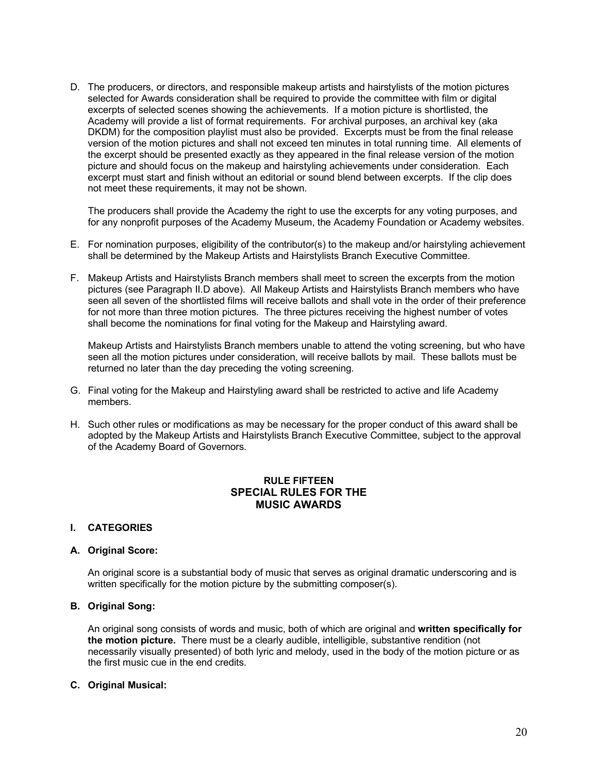<span id="page-20-0"></span>D. The producers, or directors, and responsible makeup artists and hairstylists of the motion pictures selected for Awards consideration shall be required to provide the committee with film or digital excerpts of selected scenes showing the achievements. If a motion picture is shortlisted, the Academy will provide a list of format requirements. For archival purposes, an archival key (aka DKDM) for the composition playlist must also be provided. Excerpts must be from the final release version of the motion pictures and shall not exceed ten minutes in total running time. All elements of the excerpt should be presented exactly as they appeared in the final release version of the motion picture and should focus on the makeup and hairstyling achievements under consideration. Each excerpt must start and finish without an editorial or sound blend between excerpts. If the clip does not meet these requirements, it may not be shown.

The producers shall provide the Academy the right to use the excerpts for any voting purposes, and for any nonprofit purposes of the Academy Museum, the Academy Foundation or Academy websites.

- E. For nomination purposes, eligibility of the contributor(s) to the makeup and/or hairstyling achievement shall be determined by the Makeup Artists and Hairstylists Branch Executive Committee.
- F. Makeup Artists and Hairstylists Branch members shall meet to screen the excerpts from the motion pictures (see Paragraph II.D above). All Makeup Artists and Hairstylists Branch members who have seen all seven of the shortlisted films will receive ballots and shall vote in the order of their preference for not more than three motion pictures. The three pictures receiving the highest number of votes shall become the nominations for final voting for the Makeup and Hairstyling award.

Makeup Artists and Hairstylists Branch members unable to attend the voting screening, but who have seen all the motion pictures under consideration, will receive ballots by mail. These ballots must be returned no later than the day preceding the voting screening.

- G. Final voting for the Makeup and Hairstyling award shall be restricted to active and life Academy members.
- H. Such other rules or modifications as may be necessary for the proper conduct of this award shall be adopted by the Makeup Artists and Hairstylists Branch Executive Committee, subject to the approval of the Academy Board of Governors.

# **RULE FIFTEEN SPECIAL RULES FOR THE MUSIC AWARDS**

#### **I. CATEGORIES**

#### **A. Original Score:**

An original score is a substantial body of music that serves as original dramatic underscoring and is written specifically for the motion picture by the submitting composer(s).

#### **B. Original Song:**

An original song consists of words and music, both of which are original and **written specifically for the motion picture.** There must be a clearly audible, intelligible, substantive rendition (not necessarily visually presented) of both lyric and melody, used in the body of the motion picture or as the first music cue in the end credits.

#### **C. Original Musical:**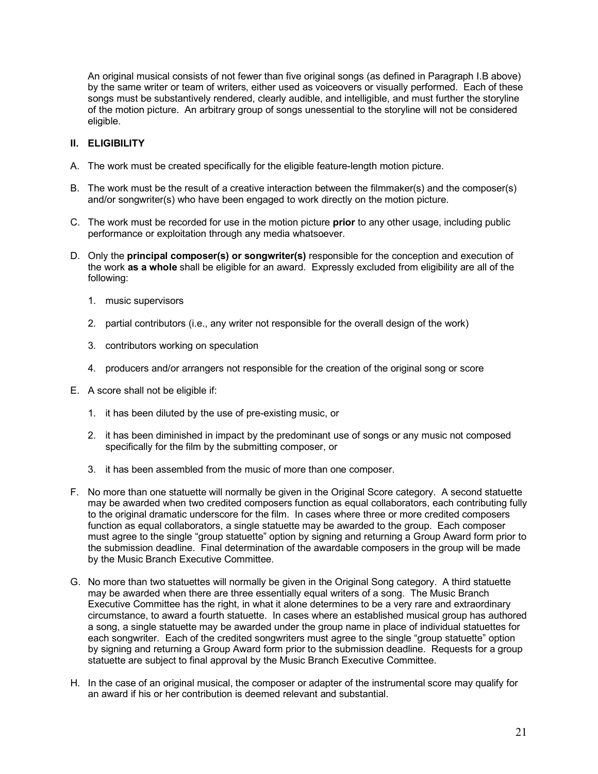An original musical consists of not fewer than five original songs (as defined in Paragraph I.B above) by the same writer or team of writers, either used as voiceovers or visually performed. Each of these songs must be substantively rendered, clearly audible, and intelligible, and must further the storyline of the motion picture. An arbitrary group of songs unessential to the storyline will not be considered eligible.

## **II. ELIGIBILITY**

- A. The work must be created specifically for the eligible feature-length motion picture.
- B. The work must be the result of a creative interaction between the filmmaker(s) and the composer(s) and/or songwriter(s) who have been engaged to work directly on the motion picture.
- C. The work must be recorded for use in the motion picture **prior** to any other usage, including public performance or exploitation through any media whatsoever.
- D. Only the **principal composer(s) or songwriter(s)** responsible for the conception and execution of the work **as a whole** shall be eligible for an award. Expressly excluded from eligibility are all of the following:
	- 1. music supervisors
	- 2. partial contributors (i.e., any writer not responsible for the overall design of the work)
	- 3. contributors working on speculation
	- 4. producers and/or arrangers not responsible for the creation of the original song or score
- E. A score shall not be eligible if:
	- 1. it has been diluted by the use of pre-existing music, or
	- 2. it has been diminished in impact by the predominant use of songs or any music not composed specifically for the film by the submitting composer, or
	- 3. it has been assembled from the music of more than one composer.
- F. No more than one statuette will normally be given in the Original Score category. A second statuette may be awarded when two credited composers function as equal collaborators, each contributing fully to the original dramatic underscore for the film. In cases where three or more credited composers function as equal collaborators, a single statuette may be awarded to the group. Each composer must agree to the single "group statuette" option by signing and returning a Group Award form prior to the submission deadline. Final determination of the awardable composers in the group will be made by the Music Branch Executive Committee.
- G. No more than two statuettes will normally be given in the Original Song category. A third statuette may be awarded when there are three essentially equal writers of a song. The Music Branch Executive Committee has the right, in what it alone determines to be a very rare and extraordinary circumstance, to award a fourth statuette. In cases where an established musical group has authored a song, a single statuette may be awarded under the group name in place of individual statuettes for each songwriter. Each of the credited songwriters must agree to the single "group statuette" option by signing and returning a Group Award form prior to the submission deadline. Requests for a group statuette are subject to final approval by the Music Branch Executive Committee.
- H. In the case of an original musical, the composer or adapter of the instrumental score may qualify for an award if his or her contribution is deemed relevant and substantial.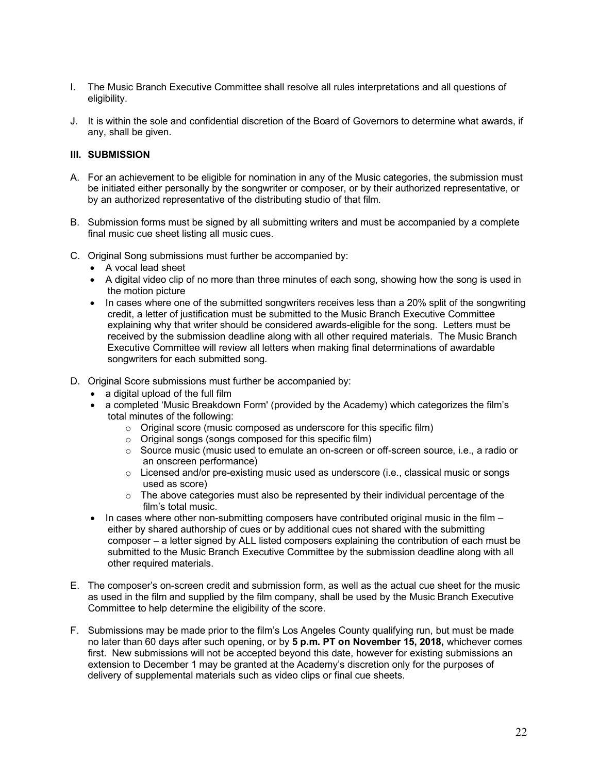- I. The Music Branch Executive Committee shall resolve all rules interpretations and all questions of eligibility.
- J. It is within the sole and confidential discretion of the Board of Governors to determine what awards, if any, shall be given.

#### **III. SUBMISSION**

- A. For an achievement to be eligible for nomination in any of the Music categories, the submission must be initiated either personally by the songwriter or composer, or by their authorized representative, or by an authorized representative of the distributing studio of that film.
- B. Submission forms must be signed by all submitting writers and must be accompanied by a complete final music cue sheet listing all music cues.
- C. Original Song submissions must further be accompanied by:
	- A vocal lead sheet
	- A digital video clip of no more than three minutes of each song, showing how the song is used in the motion picture
	- In cases where one of the submitted songwriters receives less than a 20% split of the songwriting credit, a letter of justification must be submitted to the Music Branch Executive Committee explaining why that writer should be considered awards-eligible for the song. Letters must be received by the submission deadline along with all other required materials. The Music Branch Executive Committee will review all letters when making final determinations of awardable songwriters for each submitted song.
- D. Original Score submissions must further be accompanied by:
	- a digital upload of the full film
	- a completed 'Music Breakdown Form' (provided by the Academy) which categorizes the film's total minutes of the following:
		- o Original score (music composed as underscore for this specific film)
		- o Original songs (songs composed for this specific film)
		- o Source music (music used to emulate an on-screen or off-screen source, i.e., a radio or an onscreen performance)
		- o Licensed and/or pre-existing music used as underscore (i.e., classical music or songs used as score)
		- $\circ$  The above categories must also be represented by their individual percentage of the film's total music.
	- In cases where other non-submitting composers have contributed original music in the film either by shared authorship of cues or by additional cues not shared with the submitting composer – a letter signed by ALL listed composers explaining the contribution of each must be submitted to the Music Branch Executive Committee by the submission deadline along with all other required materials.
- E. The composer's on-screen credit and submission form, as well as the actual cue sheet for the music as used in the film and supplied by the film company, shall be used by the Music Branch Executive Committee to help determine the eligibility of the score.
- F. Submissions may be made prior to the film's Los Angeles County qualifying run, but must be made no later than 60 days after such opening, or by **5 p.m. PT on November 15, 2018,** whichever comes first. New submissions will not be accepted beyond this date, however for existing submissions an extension to December 1 may be granted at the Academy's discretion only for the purposes of delivery of supplemental materials such as video clips or final cue sheets.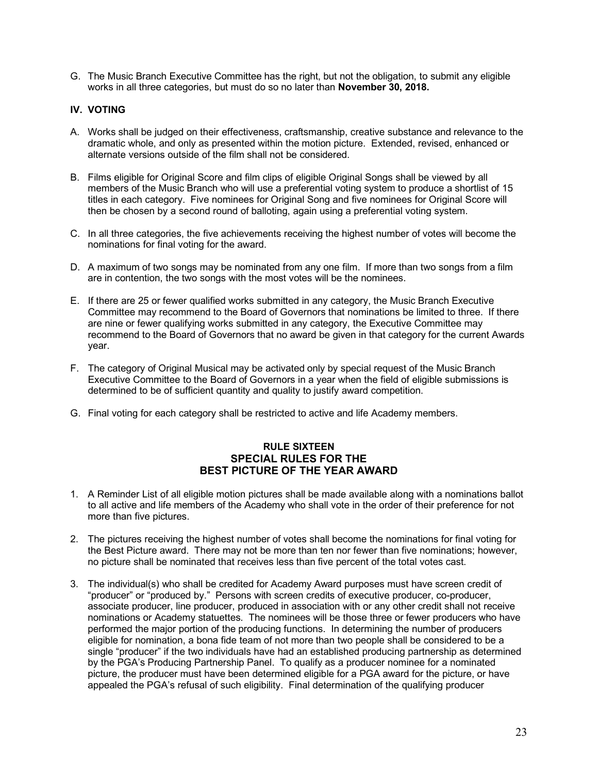<span id="page-23-0"></span>G. The Music Branch Executive Committee has the right, but not the obligation, to submit any eligible works in all three categories, but must do so no later than **November 30, 2018.**

# **IV. VOTING**

- A. Works shall be judged on their effectiveness, craftsmanship, creative substance and relevance to the dramatic whole, and only as presented within the motion picture. Extended, revised, enhanced or alternate versions outside of the film shall not be considered.
- B. Films eligible for Original Score and film clips of eligible Original Songs shall be viewed by all members of the Music Branch who will use a preferential voting system to produce a shortlist of 15 titles in each category. Five nominees for Original Song and five nominees for Original Score will then be chosen by a second round of balloting, again using a preferential voting system.
- C. In all three categories, the five achievements receiving the highest number of votes will become the nominations for final voting for the award.
- D. A maximum of two songs may be nominated from any one film. If more than two songs from a film are in contention, the two songs with the most votes will be the nominees.
- E. If there are 25 or fewer qualified works submitted in any category, the Music Branch Executive Committee may recommend to the Board of Governors that nominations be limited to three. If there are nine or fewer qualifying works submitted in any category, the Executive Committee may recommend to the Board of Governors that no award be given in that category for the current Awards year.
- F. The category of Original Musical may be activated only by special request of the Music Branch Executive Committee to the Board of Governors in a year when the field of eligible submissions is determined to be of sufficient quantity and quality to justify award competition.
- G. Final voting for each category shall be restricted to active and life Academy members.

# **RULE SIXTEEN SPECIAL RULES FOR THE BEST PICTURE OF THE YEAR AWARD**

- 1. A Reminder List of all eligible motion pictures shall be made available along with a nominations ballot to all active and life members of the Academy who shall vote in the order of their preference for not more than five pictures.
- 2. The pictures receiving the highest number of votes shall become the nominations for final voting for the Best Picture award. There may not be more than ten nor fewer than five nominations; however, no picture shall be nominated that receives less than five percent of the total votes cast.
- 3. The individual(s) who shall be credited for Academy Award purposes must have screen credit of "producer" or "produced by." Persons with screen credits of executive producer, co-producer, associate producer, line producer, produced in association with or any other credit shall not receive nominations or Academy statuettes. The nominees will be those three or fewer producers who have performed the major portion of the producing functions. In determining the number of producers eligible for nomination, a bona fide team of not more than two people shall be considered to be a single "producer" if the two individuals have had an established producing partnership as determined by the PGA's Producing Partnership Panel. To qualify as a producer nominee for a nominated picture, the producer must have been determined eligible for a PGA award for the picture, or have appealed the PGA's refusal of such eligibility. Final determination of the qualifying producer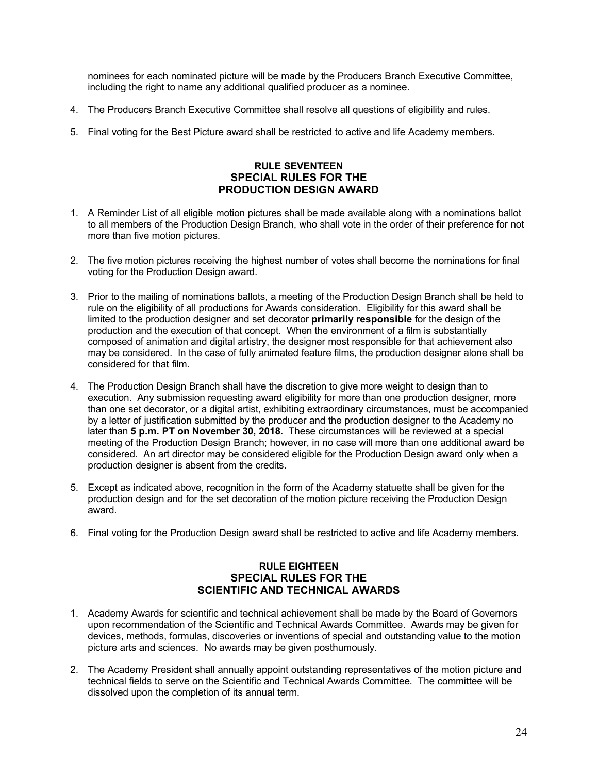<span id="page-24-0"></span>nominees for each nominated picture will be made by the Producers Branch Executive Committee, including the right to name any additional qualified producer as a nominee.

- 4. The Producers Branch Executive Committee shall resolve all questions of eligibility and rules.
- 5. Final voting for the Best Picture award shall be restricted to active and life Academy members.

# **RULE SEVENTEEN SPECIAL RULES FOR THE PRODUCTION DESIGN AWARD**

- 1. A Reminder List of all eligible motion pictures shall be made available along with a nominations ballot to all members of the Production Design Branch, who shall vote in the order of their preference for not more than five motion pictures.
- 2. The five motion pictures receiving the highest number of votes shall become the nominations for final voting for the Production Design award.
- 3. Prior to the mailing of nominations ballots, a meeting of the Production Design Branch shall be held to rule on the eligibility of all productions for Awards consideration. Eligibility for this award shall be limited to the production designer and set decorator **primarily responsible** for the design of the production and the execution of that concept. When the environment of a film is substantially composed of animation and digital artistry, the designer most responsible for that achievement also may be considered. In the case of fully animated feature films, the production designer alone shall be considered for that film.
- 4. The Production Design Branch shall have the discretion to give more weight to design than to execution. Any submission requesting award eligibility for more than one production designer, more than one set decorator, or a digital artist, exhibiting extraordinary circumstances, must be accompanied by a letter of justification submitted by the producer and the production designer to the Academy no later than **5 p.m. PT on November 30, 2018.** These circumstances will be reviewed at a special meeting of the Production Design Branch; however, in no case will more than one additional award be considered. An art director may be considered eligible for the Production Design award only when a production designer is absent from the credits.
- 5. Except as indicated above, recognition in the form of the Academy statuette shall be given for the production design and for the set decoration of the motion picture receiving the Production Design award.
- 6. Final voting for the Production Design award shall be restricted to active and life Academy members.

# **RULE EIGHTEEN SPECIAL RULES FOR THE SCIENTIFIC AND TECHNICAL AWARDS**

- 1. Academy Awards for scientific and technical achievement shall be made by the Board of Governors upon recommendation of the Scientific and Technical Awards Committee. Awards may be given for devices, methods, formulas, discoveries or inventions of special and outstanding value to the motion picture arts and sciences. No awards may be given posthumously.
- 2. The Academy President shall annually appoint outstanding representatives of the motion picture and technical fields to serve on the Scientific and Technical Awards Committee. The committee will be dissolved upon the completion of its annual term.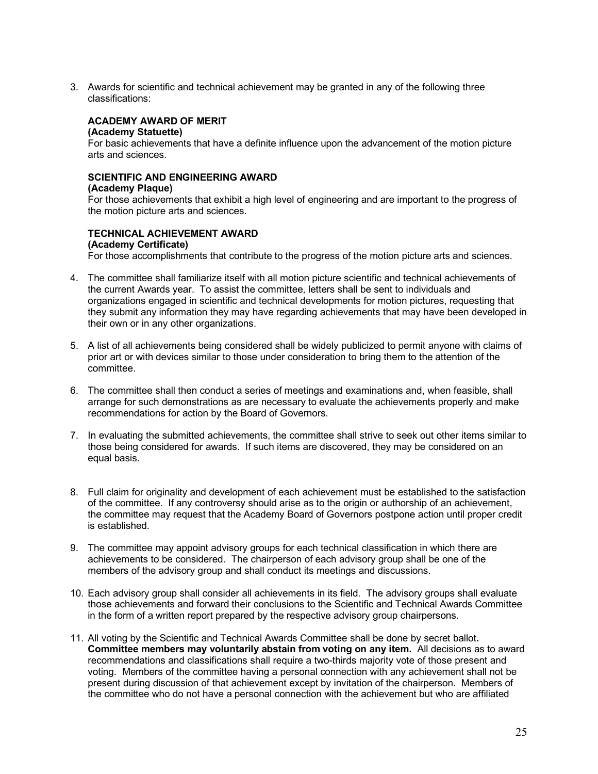3. Awards for scientific and technical achievement may be granted in any of the following three classifications:

# **ACADEMY AWARD OF MERIT**

#### **(Academy Statuette)**

For basic achievements that have a definite influence upon the advancement of the motion picture arts and sciences.

#### **SCIENTIFIC AND ENGINEERING AWARD**

#### **(Academy Plaque)**

For those achievements that exhibit a high level of engineering and are important to the progress of the motion picture arts and sciences.

# **TECHNICAL ACHIEVEMENT AWARD**

#### **(Academy Certificate)**

For those accomplishments that contribute to the progress of the motion picture arts and sciences.

- 4. The committee shall familiarize itself with all motion picture scientific and technical achievements of the current Awards year. To assist the committee, letters shall be sent to individuals and organizations engaged in scientific and technical developments for motion pictures, requesting that they submit any information they may have regarding achievements that may have been developed in their own or in any other organizations.
- 5. A list of all achievements being considered shall be widely publicized to permit anyone with claims of prior art or with devices similar to those under consideration to bring them to the attention of the committee.
- 6. The committee shall then conduct a series of meetings and examinations and, when feasible, shall arrange for such demonstrations as are necessary to evaluate the achievements properly and make recommendations for action by the Board of Governors.
- 7. In evaluating the submitted achievements, the committee shall strive to seek out other items similar to those being considered for awards. If such items are discovered, they may be considered on an equal basis.
- 8. Full claim for originality and development of each achievement must be established to the satisfaction of the committee. If any controversy should arise as to the origin or authorship of an achievement, the committee may request that the Academy Board of Governors postpone action until proper credit is established.
- 9. The committee may appoint advisory groups for each technical classification in which there are achievements to be considered. The chairperson of each advisory group shall be one of the members of the advisory group and shall conduct its meetings and discussions.
- 10. Each advisory group shall consider all achievements in its field. The advisory groups shall evaluate those achievements and forward their conclusions to the Scientific and Technical Awards Committee in the form of a written report prepared by the respective advisory group chairpersons.
- 11. All voting by the Scientific and Technical Awards Committee shall be done by secret ballot**. Committee members may voluntarily abstain from voting on any item.** All decisions as to award recommendations and classifications shall require a two-thirds majority vote of those present and voting. Members of the committee having a personal connection with any achievement shall not be present during discussion of that achievement except by invitation of the chairperson. Members of the committee who do not have a personal connection with the achievement but who are affiliated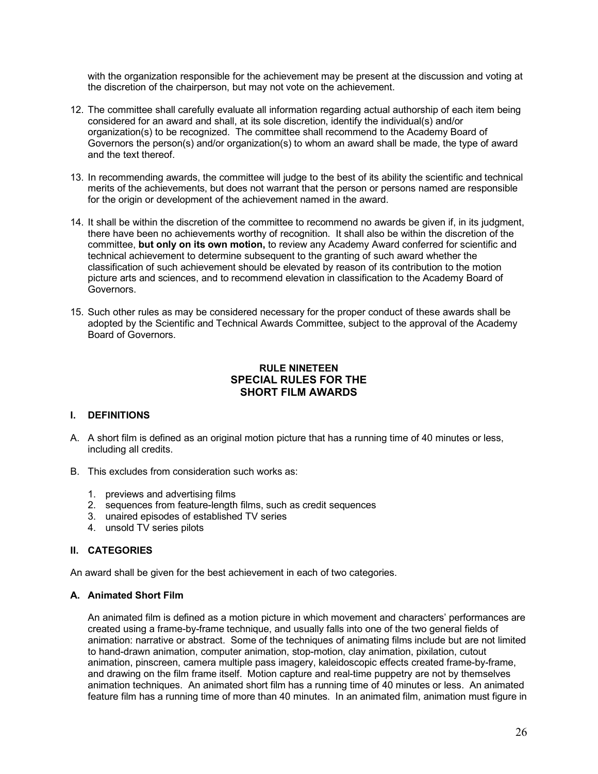<span id="page-26-0"></span>with the organization responsible for the achievement may be present at the discussion and voting at the discretion of the chairperson, but may not vote on the achievement.

- 12. The committee shall carefully evaluate all information regarding actual authorship of each item being considered for an award and shall, at its sole discretion, identify the individual(s) and/or organization(s) to be recognized. The committee shall recommend to the Academy Board of Governors the person(s) and/or organization(s) to whom an award shall be made, the type of award and the text thereof.
- 13. In recommending awards, the committee will judge to the best of its ability the scientific and technical merits of the achievements, but does not warrant that the person or persons named are responsible for the origin or development of the achievement named in the award.
- 14. It shall be within the discretion of the committee to recommend no awards be given if, in its judgment, there have been no achievements worthy of recognition. It shall also be within the discretion of the committee, **but only on its own motion,** to review any Academy Award conferred for scientific and technical achievement to determine subsequent to the granting of such award whether the classification of such achievement should be elevated by reason of its contribution to the motion picture arts and sciences, and to recommend elevation in classification to the Academy Board of Governors.
- 15. Such other rules as may be considered necessary for the proper conduct of these awards shall be adopted by the Scientific and Technical Awards Committee, subject to the approval of the Academy Board of Governors.

# **RULE NINETEEN SPECIAL RULES FOR THE SHORT FILM AWARDS**

## **I. DEFINITIONS**

- A. A short film is defined as an original motion picture that has a running time of 40 minutes or less, including all credits.
- B. This excludes from consideration such works as:
	- 1. previews and advertising films
	- 2. sequences from feature-length films, such as credit sequences
	- 3. unaired episodes of established TV series
	- 4. unsold TV series pilots

# **II. CATEGORIES**

An award shall be given for the best achievement in each of two categories.

## **A. Animated Short Film**

An animated film is defined as a motion picture in which movement and characters' performances are created using a frame-by-frame technique, and usually falls into one of the two general fields of animation: narrative or abstract. Some of the techniques of animating films include but are not limited to hand-drawn animation, computer animation, stop-motion, clay animation, pixilation, cutout animation, pinscreen, camera multiple pass imagery, kaleidoscopic effects created frame-by-frame, and drawing on the film frame itself. Motion capture and real-time puppetry are not by themselves animation techniques. An animated short film has a running time of 40 minutes or less. An animated feature film has a running time of more than 40 minutes. In an animated film, animation must figure in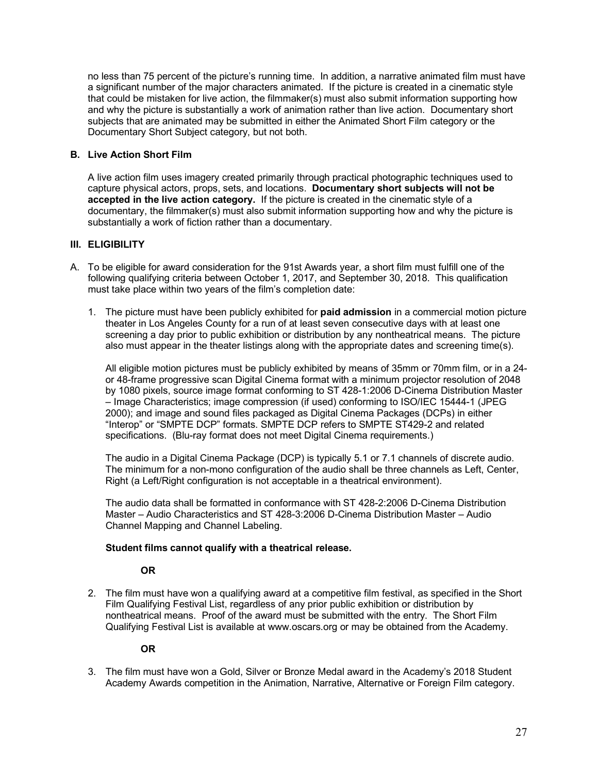no less than 75 percent of the picture's running time. In addition, a narrative animated film must have a significant number of the major characters animated. If the picture is created in a cinematic style that could be mistaken for live action, the filmmaker(s) must also submit information supporting how and why the picture is substantially a work of animation rather than live action. Documentary short subjects that are animated may be submitted in either the Animated Short Film category or the Documentary Short Subject category, but not both.

## **B. Live Action Short Film**

A live action film uses imagery created primarily through practical photographic techniques used to capture physical actors, props, sets, and locations. **Documentary short subjects will not be accepted in the live action category.** If the picture is created in the cinematic style of a documentary, the filmmaker(s) must also submit information supporting how and why the picture is substantially a work of fiction rather than a documentary.

# **III. ELIGIBILITY**

- A. To be eligible for award consideration for the 91st Awards year, a short film must fulfill one of the following qualifying criteria between October 1, 2017, and September 30, 2018. This qualification must take place within two years of the film's completion date:
	- 1. The picture must have been publicly exhibited for **paid admission** in a commercial motion picture theater in Los Angeles County for a run of at least seven consecutive days with at least one screening a day prior to public exhibition or distribution by any nontheatrical means. The picture also must appear in the theater listings along with the appropriate dates and screening time(s).

All eligible motion pictures must be publicly exhibited by means of 35mm or 70mm film, or in a 24 or 48-frame progressive scan Digital Cinema format with a minimum projector resolution of 2048 by 1080 pixels, source image format conforming to ST 428-1:2006 D-Cinema Distribution Master – Image Characteristics; image compression (if used) conforming to ISO/IEC 15444-1 (JPEG 2000); and image and sound files packaged as Digital Cinema Packages (DCPs) in either "Interop" or "SMPTE DCP" formats. SMPTE DCP refers to SMPTE ST429-2 and related specifications. (Blu-ray format does not meet Digital Cinema requirements.)

The audio in a Digital Cinema Package (DCP) is typically 5.1 or 7.1 channels of discrete audio. The minimum for a non-mono configuration of the audio shall be three channels as Left, Center, Right (a Left/Right configuration is not acceptable in a theatrical environment).

The audio data shall be formatted in conformance with ST 428-2:2006 D-Cinema Distribution Master – Audio Characteristics and ST 428-3:2006 D-Cinema Distribution Master – Audio Channel Mapping and Channel Labeling.

## **Student films cannot qualify with a theatrical release.**

## **OR**

2. The film must have won a qualifying award at a competitive film festival, as specified in the Short Film Qualifying Festival List, regardless of any prior public exhibition or distribution by nontheatrical means. Proof of the award must be submitted with the entry. The Short Film Qualifying Festival List is available at www.oscars.org or may be obtained from the Academy.

## **OR**

3. The film must have won a Gold, Silver or Bronze Medal award in the Academy's 2018 Student Academy Awards competition in the Animation, Narrative, Alternative or Foreign Film category.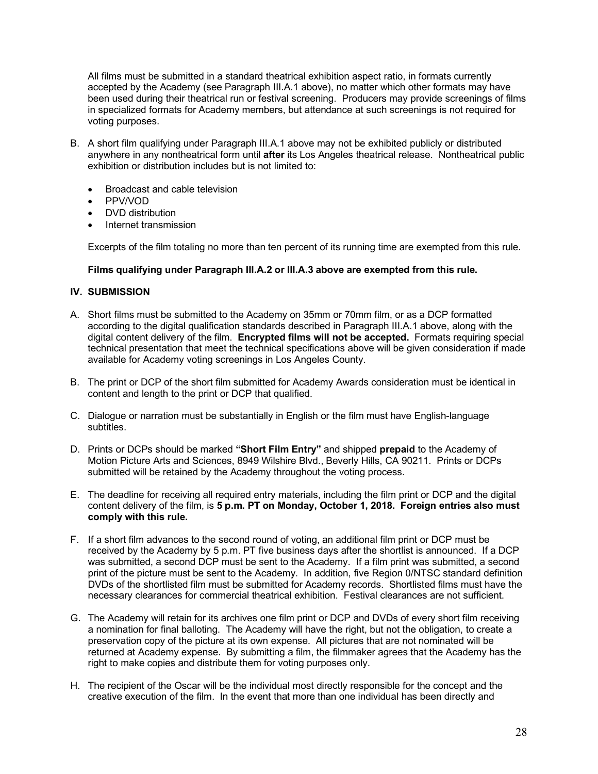All films must be submitted in a standard theatrical exhibition aspect ratio, in formats currently accepted by the Academy (see Paragraph III.A.1 above), no matter which other formats may have been used during their theatrical run or festival screening. Producers may provide screenings of films in specialized formats for Academy members, but attendance at such screenings is not required for voting purposes.

- B. A short film qualifying under Paragraph III.A.1 above may not be exhibited publicly or distributed anywhere in any nontheatrical form until **after** its Los Angeles theatrical release. Nontheatrical public exhibition or distribution includes but is not limited to:
	- Broadcast and cable television
	- PPV/VOD
	- DVD distribution
	- Internet transmission

Excerpts of the film totaling no more than ten percent of its running time are exempted from this rule.

#### **Films qualifying under Paragraph III.A.2 or III.A.3 above are exempted from this rule.**

#### **IV. SUBMISSION**

- A. Short films must be submitted to the Academy on 35mm or 70mm film, or as a DCP formatted according to the digital qualification standards described in Paragraph III.A.1 above, along with the digital content delivery of the film. **Encrypted films will not be accepted.** Formats requiring special technical presentation that meet the technical specifications above will be given consideration if made available for Academy voting screenings in Los Angeles County.
- B. The print or DCP of the short film submitted for Academy Awards consideration must be identical in content and length to the print or DCP that qualified.
- C. Dialogue or narration must be substantially in English or the film must have English-language subtitles.
- D. Prints or DCPs should be marked **"Short Film Entry"** and shipped **prepaid** to the Academy of Motion Picture Arts and Sciences, 8949 Wilshire Blvd., Beverly Hills, CA 90211. Prints or DCPs submitted will be retained by the Academy throughout the voting process.
- E. The deadline for receiving all required entry materials, including the film print or DCP and the digital content delivery of the film, is **5 p.m. PT on Monday, October 1, 2018. Foreign entries also must comply with this rule.**
- F. If a short film advances to the second round of voting, an additional film print or DCP must be received by the Academy by 5 p.m. PT five business days after the shortlist is announced. If a DCP was submitted, a second DCP must be sent to the Academy. If a film print was submitted, a second print of the picture must be sent to the Academy. In addition, five Region 0/NTSC standard definition DVDs of the shortlisted film must be submitted for Academy records. Shortlisted films must have the necessary clearances for commercial theatrical exhibition. Festival clearances are not sufficient.
- G. The Academy will retain for its archives one film print or DCP and DVDs of every short film receiving a nomination for final balloting. The Academy will have the right, but not the obligation, to create a preservation copy of the picture at its own expense. All pictures that are not nominated will be returned at Academy expense. By submitting a film, the filmmaker agrees that the Academy has the right to make copies and distribute them for voting purposes only.
- H. The recipient of the Oscar will be the individual most directly responsible for the concept and the creative execution of the film. In the event that more than one individual has been directly and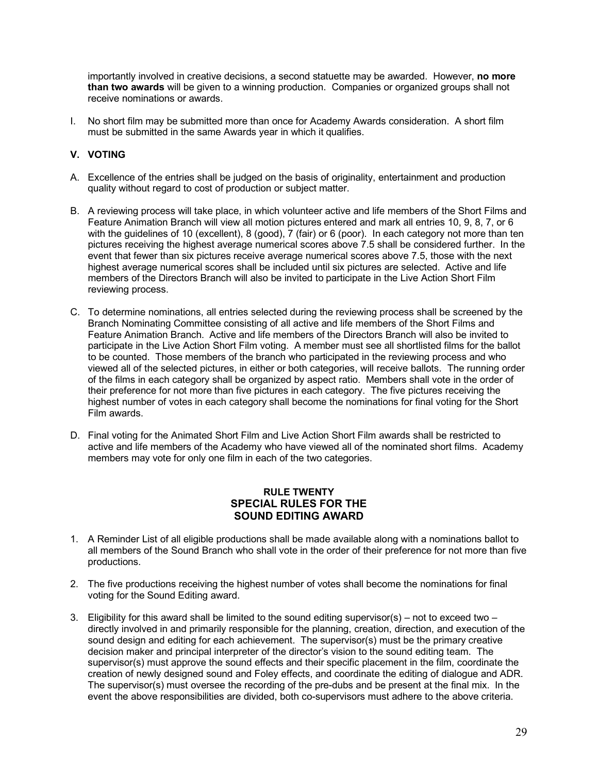<span id="page-29-0"></span>importantly involved in creative decisions, a second statuette may be awarded. However, **no more than two awards** will be given to a winning production. Companies or organized groups shall not receive nominations or awards.

I. No short film may be submitted more than once for Academy Awards consideration. A short film must be submitted in the same Awards year in which it qualifies.

# **V. VOTING**

- A. Excellence of the entries shall be judged on the basis of originality, entertainment and production quality without regard to cost of production or subject matter.
- B. A reviewing process will take place, in which volunteer active and life members of the Short Films and Feature Animation Branch will view all motion pictures entered and mark all entries 10, 9, 8, 7, or 6 with the guidelines of 10 (excellent), 8 (good), 7 (fair) or 6 (poor). In each category not more than ten pictures receiving the highest average numerical scores above 7.5 shall be considered further. In the event that fewer than six pictures receive average numerical scores above 7.5, those with the next highest average numerical scores shall be included until six pictures are selected. Active and life members of the Directors Branch will also be invited to participate in the Live Action Short Film reviewing process.
- C. To determine nominations, all entries selected during the reviewing process shall be screened by the Branch Nominating Committee consisting of all active and life members of the Short Films and Feature Animation Branch. Active and life members of the Directors Branch will also be invited to participate in the Live Action Short Film voting. A member must see all shortlisted films for the ballot to be counted. Those members of the branch who participated in the reviewing process and who viewed all of the selected pictures, in either or both categories, will receive ballots. The running order of the films in each category shall be organized by aspect ratio. Members shall vote in the order of their preference for not more than five pictures in each category. The five pictures receiving the highest number of votes in each category shall become the nominations for final voting for the Short Film awards.
- D. Final voting for the Animated Short Film and Live Action Short Film awards shall be restricted to active and life members of the Academy who have viewed all of the nominated short films. Academy members may vote for only one film in each of the two categories.

# **RULE TWENTY SPECIAL RULES FOR THE SOUND EDITING AWARD**

- 1. A Reminder List of all eligible productions shall be made available along with a nominations ballot to all members of the Sound Branch who shall vote in the order of their preference for not more than five productions.
- 2. The five productions receiving the highest number of votes shall become the nominations for final voting for the Sound Editing award.
- 3. Eligibility for this award shall be limited to the sound editing supervisor(s) not to exceed two directly involved in and primarily responsible for the planning, creation, direction, and execution of the sound design and editing for each achievement. The supervisor(s) must be the primary creative decision maker and principal interpreter of the director's vision to the sound editing team. The supervisor(s) must approve the sound effects and their specific placement in the film, coordinate the creation of newly designed sound and Foley effects, and coordinate the editing of dialogue and ADR. The supervisor(s) must oversee the recording of the pre-dubs and be present at the final mix. In the event the above responsibilities are divided, both co-supervisors must adhere to the above criteria.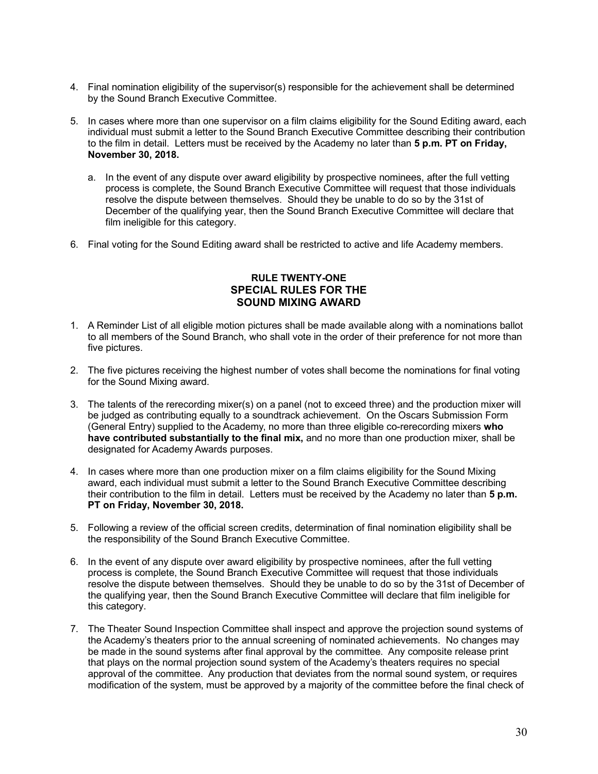- <span id="page-30-0"></span>4. Final nomination eligibility of the supervisor(s) responsible for the achievement shall be determined by the Sound Branch Executive Committee.
- 5. In cases where more than one supervisor on a film claims eligibility for the Sound Editing award, each individual must submit a letter to the Sound Branch Executive Committee describing their contribution to the film in detail. Letters must be received by the Academy no later than **5 p.m. PT on Friday, November 30, 2018.**
	- a. In the event of any dispute over award eligibility by prospective nominees, after the full vetting process is complete, the Sound Branch Executive Committee will request that those individuals resolve the dispute between themselves. Should they be unable to do so by the 31st of December of the qualifying year, then the Sound Branch Executive Committee will declare that film ineligible for this category.
- 6. Final voting for the Sound Editing award shall be restricted to active and life Academy members.

#### **RULE TWENTY-ONE SPECIAL RULES FOR THE SOUND MIXING AWARD**

- 1. A Reminder List of all eligible motion pictures shall be made available along with a nominations ballot to all members of the Sound Branch, who shall vote in the order of their preference for not more than five pictures.
- 2. The five pictures receiving the highest number of votes shall become the nominations for final voting for the Sound Mixing award.
- 3. The talents of the rerecording mixer(s) on a panel (not to exceed three) and the production mixer will be judged as contributing equally to a soundtrack achievement. On the Oscars Submission Form (General Entry) supplied to the Academy, no more than three eligible co-rerecording mixers **who have contributed substantially to the final mix,** and no more than one production mixer, shall be designated for Academy Awards purposes.
- 4. In cases where more than one production mixer on a film claims eligibility for the Sound Mixing award, each individual must submit a letter to the Sound Branch Executive Committee describing their contribution to the film in detail. Letters must be received by the Academy no later than **5 p.m. PT on Friday, November 30, 2018.**
- 5. Following a review of the official screen credits, determination of final nomination eligibility shall be the responsibility of the Sound Branch Executive Committee.
- 6. In the event of any dispute over award eligibility by prospective nominees, after the full vetting process is complete, the Sound Branch Executive Committee will request that those individuals resolve the dispute between themselves. Should they be unable to do so by the 31st of December of the qualifying year, then the Sound Branch Executive Committee will declare that film ineligible for this category.
- 7. The Theater Sound Inspection Committee shall inspect and approve the projection sound systems of the Academy's theaters prior to the annual screening of nominated achievements. No changes may be made in the sound systems after final approval by the committee. Any composite release print that plays on the normal projection sound system of the Academy's theaters requires no special approval of the committee. Any production that deviates from the normal sound system, or requires modification of the system, must be approved by a majority of the committee before the final check of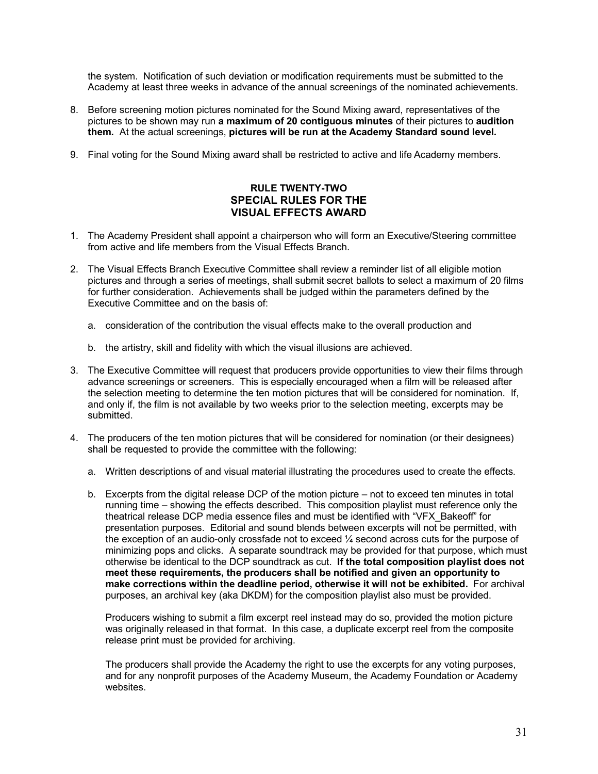<span id="page-31-0"></span>the system. Notification of such deviation or modification requirements must be submitted to the Academy at least three weeks in advance of the annual screenings of the nominated achievements.

- 8. Before screening motion pictures nominated for the Sound Mixing award, representatives of the pictures to be shown may run **a maximum of 20 contiguous minutes** of their pictures to **audition them***.* At the actual screenings, **pictures will be run at the Academy Standard sound level***.*
- 9. Final voting for the Sound Mixing award shall be restricted to active and life Academy members.

# **RULE TWENTY-TWO SPECIAL RULES FOR THE VISUAL EFFECTS AWARD**

- 1. The Academy President shall appoint a chairperson who will form an Executive/Steering committee from active and life members from the Visual Effects Branch.
- 2. The Visual Effects Branch Executive Committee shall review a reminder list of all eligible motion pictures and through a series of meetings, shall submit secret ballots to select a maximum of 20 films for further consideration. Achievements shall be judged within the parameters defined by the Executive Committee and on the basis of:
	- a. consideration of the contribution the visual effects make to the overall production and
	- b. the artistry, skill and fidelity with which the visual illusions are achieved.
- 3. The Executive Committee will request that producers provide opportunities to view their films through advance screenings or screeners. This is especially encouraged when a film will be released after the selection meeting to determine the ten motion pictures that will be considered for nomination. If, and only if, the film is not available by two weeks prior to the selection meeting, excerpts may be submitted.
- 4. The producers of the ten motion pictures that will be considered for nomination (or their designees) shall be requested to provide the committee with the following:
	- a. Written descriptions of and visual material illustrating the procedures used to create the effects.
	- b. Excerpts from the digital release DCP of the motion picture not to exceed ten minutes in total running time – showing the effects described. This composition playlist must reference only the theatrical release DCP media essence files and must be identified with "VFX\_Bakeoff" for presentation purposes. Editorial and sound blends between excerpts will not be permitted, with the exception of an audio-only crossfade not to exceed ¼ second across cuts for the purpose of minimizing pops and clicks. A separate soundtrack may be provided for that purpose, which must otherwise be identical to the DCP soundtrack as cut. **If the total composition playlist does not meet these requirements, the producers shall be notified and given an opportunity to make corrections within the deadline period, otherwise it will not be exhibited.** For archival purposes, an archival key (aka DKDM) for the composition playlist also must be provided.

Producers wishing to submit a film excerpt reel instead may do so, provided the motion picture was originally released in that format. In this case, a duplicate excerpt reel from the composite release print must be provided for archiving.

The producers shall provide the Academy the right to use the excerpts for any voting purposes, and for any nonprofit purposes of the Academy Museum, the Academy Foundation or Academy websites.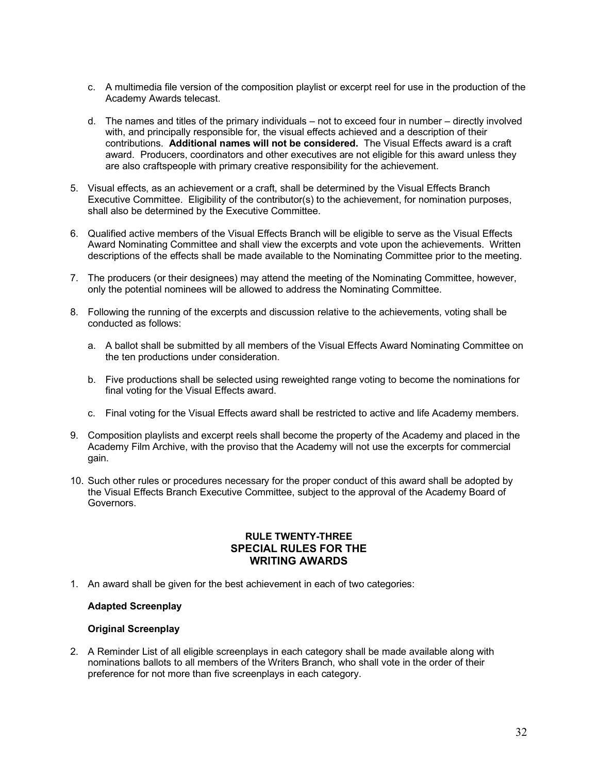- <span id="page-32-0"></span>c. A multimedia file version of the composition playlist or excerpt reel for use in the production of the Academy Awards telecast.
- d. The names and titles of the primary individuals not to exceed four in number directly involved with, and principally responsible for, the visual effects achieved and a description of their contributions. **Additional names will not be considered.** The Visual Effects award is a craft award. Producers, coordinators and other executives are not eligible for this award unless they are also craftspeople with primary creative responsibility for the achievement.
- 5. Visual effects, as an achievement or a craft, shall be determined by the Visual Effects Branch Executive Committee. Eligibility of the contributor(s) to the achievement, for nomination purposes, shall also be determined by the Executive Committee.
- 6. Qualified active members of the Visual Effects Branch will be eligible to serve as the Visual Effects Award Nominating Committee and shall view the excerpts and vote upon the achievements. Written descriptions of the effects shall be made available to the Nominating Committee prior to the meeting.
- 7. The producers (or their designees) may attend the meeting of the Nominating Committee, however, only the potential nominees will be allowed to address the Nominating Committee.
- 8. Following the running of the excerpts and discussion relative to the achievements, voting shall be conducted as follows:
	- a. A ballot shall be submitted by all members of the Visual Effects Award Nominating Committee on the ten productions under consideration.
	- b. Five productions shall be selected using reweighted range voting to become the nominations for final voting for the Visual Effects award.
	- c. Final voting for the Visual Effects award shall be restricted to active and life Academy members.
- 9. Composition playlists and excerpt reels shall become the property of the Academy and placed in the Academy Film Archive, with the proviso that the Academy will not use the excerpts for commercial gain.
- 10. Such other rules or procedures necessary for the proper conduct of this award shall be adopted by the Visual Effects Branch Executive Committee, subject to the approval of the Academy Board of Governors.

#### **RULE TWENTY-THREE SPECIAL RULES FOR THE WRITING AWARDS**

1. An award shall be given for the best achievement in each of two categories:

#### **Adapted Screenplay**

#### **Original Screenplay**

2. A Reminder List of all eligible screenplays in each category shall be made available along with nominations ballots to all members of the Writers Branch, who shall vote in the order of their preference for not more than five screenplays in each category.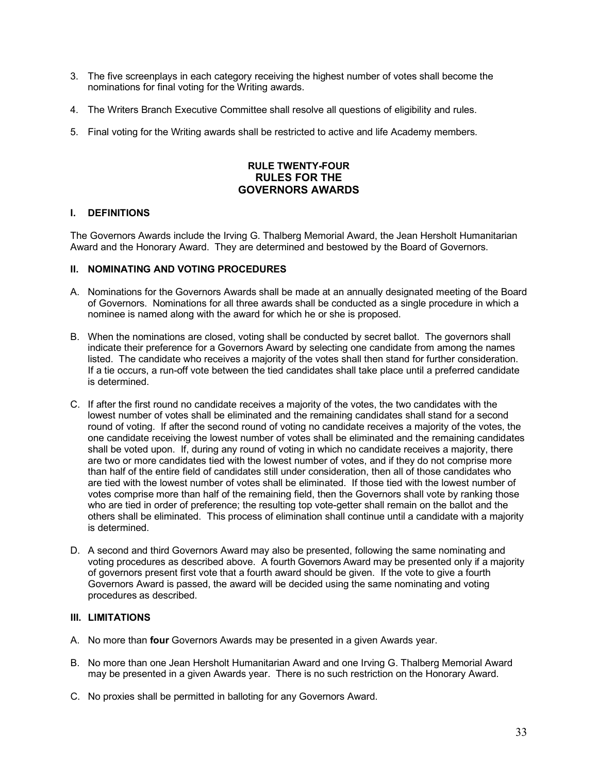- 3. The five screenplays in each category receiving the highest number of votes shall become the nominations for final voting for the Writing awards.
- 4. The Writers Branch Executive Committee shall resolve all questions of eligibility and rules.
- 5. Final voting for the Writing awards shall be restricted to active and life Academy members.

# **RULE TWENTY-FOUR RULES FOR THE GOVERNORS AWARDS**

#### **I. DEFINITIONS**

The Governors Awards include the Irving G. Thalberg Memorial Award, the Jean Hersholt Humanitarian Award and the Honorary Award. They are determined and bestowed by the Board of Governors.

#### **II. NOMINATING AND VOTING PROCEDURES**

- A. Nominations for the Governors Awards shall be made at an annually designated meeting of the Board of Governors. Nominations for all three awards shall be conducted as a single procedure in which a nominee is named along with the award for which he or she is proposed.
- B. When the nominations are closed, voting shall be conducted by secret ballot. The governors shall indicate their preference for a Governors Award by selecting one candidate from among the names listed. The candidate who receives a majority of the votes shall then stand for further consideration. If a tie occurs, a run-off vote between the tied candidates shall take place until a preferred candidate is determined.
- C. If after the first round no candidate receives a majority of the votes, the two candidates with the lowest number of votes shall be eliminated and the remaining candidates shall stand for a second round of voting. If after the second round of voting no candidate receives a majority of the votes, the one candidate receiving the lowest number of votes shall be eliminated and the remaining candidates shall be voted upon. If, during any round of voting in which no candidate receives a majority, there are two or more candidates tied with the lowest number of votes, and if they do not comprise more than half of the entire field of candidates still under consideration, then all of those candidates who are tied with the lowest number of votes shall be eliminated. If those tied with the lowest number of votes comprise more than half of the remaining field, then the Governors shall vote by ranking those who are tied in order of preference; the resulting top vote-getter shall remain on the ballot and the others shall be eliminated. This process of elimination shall continue until a candidate with a majority is determined.
- D. A second and third Governors Award may also be presented, following the same nominating and voting procedures as described above. A fourth Governors Award may be presented only if a majority of governors present first vote that a fourth award should be given. If the vote to give a fourth Governors Award is passed, the award will be decided using the same nominating and voting procedures as described.

#### **III. LIMITATIONS**

- A. No more than **four** Governors Awards may be presented in a given Awards year.
- B. No more than one Jean Hersholt Humanitarian Award and one Irving G. Thalberg Memorial Award may be presented in a given Awards year. There is no such restriction on the Honorary Award.
- C. No proxies shall be permitted in balloting for any Governors Award.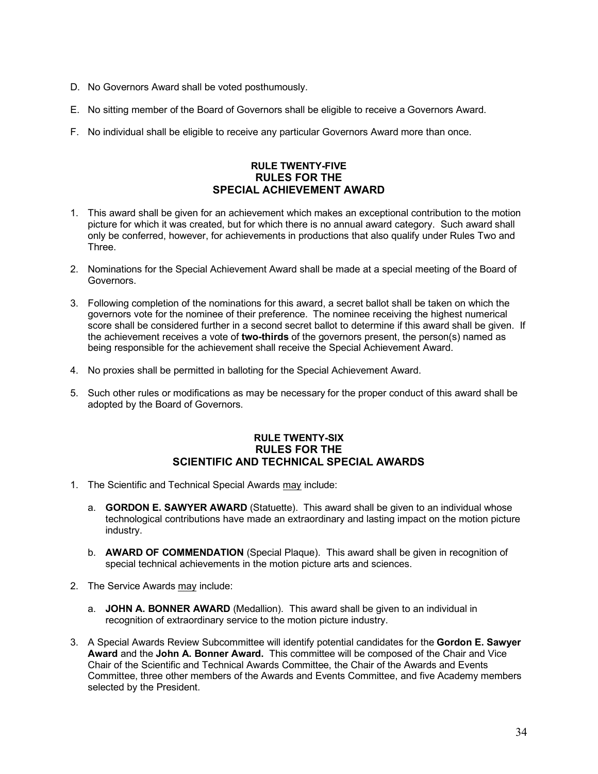- <span id="page-34-0"></span>D. No Governors Award shall be voted posthumously.
- E. No sitting member of the Board of Governors shall be eligible to receive a Governors Award.
- F. No individual shall be eligible to receive any particular Governors Award more than once.

# **RULE TWENTY-FIVE RULES FOR THE SPECIAL ACHIEVEMENT AWARD**

- 1. This award shall be given for an achievement which makes an exceptional contribution to the motion picture for which it was created, but for which there is no annual award category. Such award shall only be conferred, however, for achievements in productions that also qualify under Rules Two and Three.
- 2. Nominations for the Special Achievement Award shall be made at a special meeting of the Board of Governors.
- 3. Following completion of the nominations for this award, a secret ballot shall be taken on which the governors vote for the nominee of their preference. The nominee receiving the highest numerical score shall be considered further in a second secret ballot to determine if this award shall be given. If the achievement receives a vote of **two-thirds** of the governors present, the person(s) named as being responsible for the achievement shall receive the Special Achievement Award.
- 4. No proxies shall be permitted in balloting for the Special Achievement Award.
- 5. Such other rules or modifications as may be necessary for the proper conduct of this award shall be adopted by the Board of Governors.

# **RULE TWENTY-SIX RULES FOR THE SCIENTIFIC AND TECHNICAL SPECIAL AWARDS**

- 1. The Scientific and Technical Special Awards may include:
	- a. **GORDON E. SAWYER AWARD** (Statuette). This award shall be given to an individual whose technological contributions have made an extraordinary and lasting impact on the motion picture industry.
	- b. **AWARD OF COMMENDATION** (Special Plaque). This award shall be given in recognition of special technical achievements in the motion picture arts and sciences.
- 2. The Service Awards may include:
	- a. **JOHN A. BONNER AWARD** (Medallion). This award shall be given to an individual in recognition of extraordinary service to the motion picture industry.
- 3. A Special Awards Review Subcommittee will identify potential candidates for the **Gordon E. Sawyer Award** and the **John A. Bonner Award.** This committee will be composed of the Chair and Vice Chair of the Scientific and Technical Awards Committee, the Chair of the Awards and Events Committee, three other members of the Awards and Events Committee, and five Academy members selected by the President.